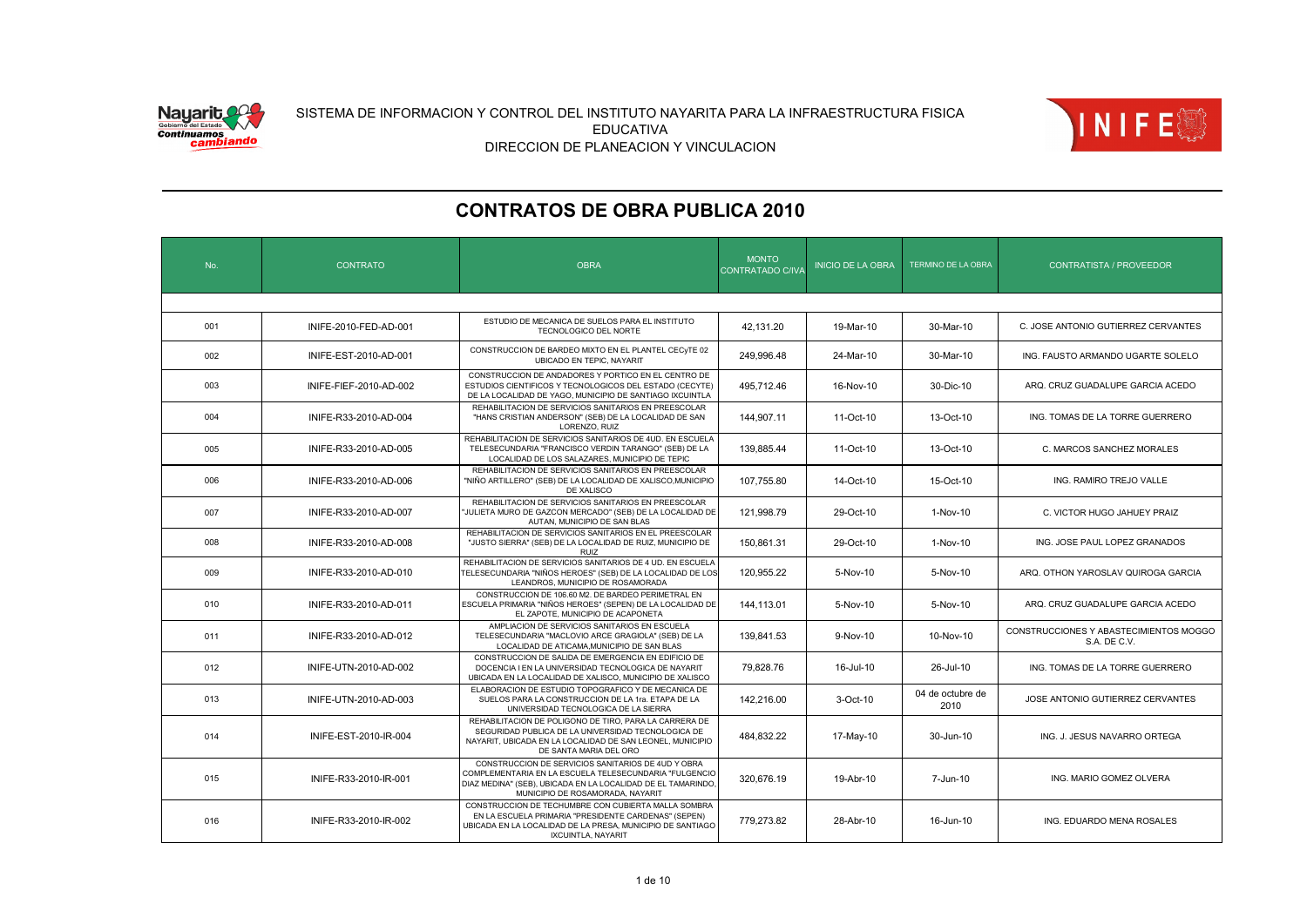



| No. | <b>CONTRATO</b>        | <b>OBRA</b>                                                                                                                                                                                                      | <b>MONTO</b><br><b>CONTRATADO C/IVA</b> | <b>INICIO DE LA OBRA</b> | <b>TERMINO DE LA OBRA</b> | <b>CONTRATISTA / PROVEEDOR</b>                         |  |  |  |  |
|-----|------------------------|------------------------------------------------------------------------------------------------------------------------------------------------------------------------------------------------------------------|-----------------------------------------|--------------------------|---------------------------|--------------------------------------------------------|--|--|--|--|
|     |                        |                                                                                                                                                                                                                  |                                         |                          |                           |                                                        |  |  |  |  |
| 001 | INIFE-2010-FED-AD-001  | ESTUDIO DE MECANICA DE SUELOS PARA EL INSTITUTO<br>TECNOLOGICO DEL NORTE                                                                                                                                         | 42.131.20                               | 19-Mar-10                | 30-Mar-10                 | C. JOSE ANTONIO GUTIERREZ CERVANTES                    |  |  |  |  |
| 002 | INIFE-EST-2010-AD-001  | CONSTRUCCION DE BARDEO MIXTO EN EL PLANTEL CECYTE 02<br>UBICADO EN TEPIC, NAYARIT                                                                                                                                | 249,996.48                              | 24-Mar-10                | 30-Mar-10                 | ING. FAUSTO ARMANDO UGARTE SOLELO                      |  |  |  |  |
| 003 | INIFE-FIEF-2010-AD-002 | CONSTRUCCION DE ANDADORES Y PORTICO EN EL CENTRO DE<br>ESTUDIOS CIENTIFICOS Y TECNOLOGICOS DEL ESTADO (CECYTE)<br>DE LA LOCALIDAD DE YAGO, MUNICIPIO DE SANTIAGO IXCUINTLA                                       | 495.712.46                              | 16-Nov-10                | 30-Dic-10                 | ARQ. CRUZ GUADALUPE GARCIA ACEDO                       |  |  |  |  |
| 004 | INIFE-R33-2010-AD-004  | REHABILITACION DE SERVICIOS SANITARIOS EN PREESCOLAR<br>"HANS CRISTIAN ANDERSON" (SEB) DE LA LOCALIDAD DE SAN<br>LORENZO, RUIZ                                                                                   | 144,907.11                              | 11-Oct-10                | 13-Oct-10                 | ING. TOMAS DE LA TORRE GUERRERO                        |  |  |  |  |
| 005 | INIFE-R33-2010-AD-005  | REHABILITACION DE SERVICIOS SANITARIOS DE 4UD. EN ESCUELA<br>TELESECUNDARIA "FRANCISCO VERDIN TARANGO" (SEB) DE LA<br>LOCALIDAD DE LOS SALAZARES, MUNICIPIO DE TEPIC                                             | 139,885.44                              | 11-Oct-10                | 13-Oct-10                 | C. MARCOS SANCHEZ MORALES                              |  |  |  |  |
| 006 | INIFE-R33-2010-AD-006  | REHABILITACION DE SERVICIOS SANITARIOS EN PREESCOLAR<br>"NIÑO ARTILLERO" (SEB) DE LA LOCALIDAD DE XALISCO,MUNICIPIO<br>DE XALISCO                                                                                | 107.755.80                              | 14-Oct-10                | 15-Oct-10                 | ING. RAMIRO TREJO VALLE                                |  |  |  |  |
| 007 | INIFE-R33-2010-AD-007  | REHABILITACION DE SERVICIOS SANITARIOS EN PREESCOLAR<br>"JULIETA MURO DE GAZCON MERCADO" (SEB) DE LA LOCALIDAD DE<br>AUTAN, MUNICIPIO DE SAN BLAS                                                                | 121,998.79                              | 29-Oct-10                | 1-Nov-10                  | C. VICTOR HUGO JAHUEY PRAIZ                            |  |  |  |  |
| 008 | INIFE-R33-2010-AD-008  | REHABILITACION DE SERVICIOS SANITARIOS EN EL PREESCOLAR<br>"JUSTO SIERRA" (SEB) DE LA LOCALIDAD DE RUIZ, MUNICIPIO DE<br><b>RUIZ</b>                                                                             | 150,861.31                              | 29-Oct-10                | 1-Nov-10                  | ING. JOSE PAUL LOPEZ GRANADOS                          |  |  |  |  |
| 009 | INIFE-R33-2010-AD-010  | REHABILITACION DE SERVICIOS SANITARIOS DE 4 UD. EN ESCUELA<br>TELESECUNDARIA "NIÑOS HEROES" (SEB) DE LA LOCALIDAD DE LOS<br>LEANDROS, MUNICIPIO DE ROSAMORADA                                                    | 120,955.22                              | 5-Nov-10                 | 5-Nov-10                  | ARQ. OTHON YAROSLAV QUIROGA GARCIA                     |  |  |  |  |
| 010 | INIFE-R33-2010-AD-011  | CONSTRUCCION DE 106.60 M2. DE BARDEO PERIMETRAL EN<br>ESCUELA PRIMARIA "NIÑOS HEROES" (SEPEN) DE LA LOCALIDAD DE<br>EL ZAPOTE, MUNICIPIO DE ACAPONETA                                                            | 144.113.01                              | 5-Nov-10                 | 5-Nov-10                  | ARQ. CRUZ GUADALUPE GARCIA ACEDO                       |  |  |  |  |
| 011 | INIFE-R33-2010-AD-012  | AMPLIACION DE SERVICIOS SANITARIOS EN ESCUELA<br>TELESECUNDARIA "MACLOVIO ARCE GRAGIOLA" (SEB) DE LA<br>LOCALIDAD DE ATICAMA, MUNICIPIO DE SAN BLAS                                                              | 139.841.53                              | 9-Nov-10                 | 10-Nov-10                 | CONSTRUCCIONES Y ABASTECIMIENTOS MOGGO<br>S.A. DE C.V. |  |  |  |  |
| 012 | INIFE-UTN-2010-AD-002  | CONSTRUCCION DE SALIDA DE EMERGENCIA EN EDIFICIO DE<br>DOCENCIA I EN LA UNIVERSIDAD TECNOLOGICA DE NAYARIT<br>UBICADA EN LA LOCALIDAD DE XALISCO, MUNICIPIO DE XALISCO                                           | 79.828.76                               | 16-Jul-10                | 26-Jul-10                 | ING. TOMAS DE LA TORRE GUERRERO                        |  |  |  |  |
| 013 | INIFE-UTN-2010-AD-003  | ELABORACION DE ESTUDIO TOPOGRAFICO Y DE MECANICA DE<br>SUELOS PARA LA CONSTRUCCION DE LA 1ra. ETAPA DE LA<br>UNIVERSIDAD TECNOLOGICA DE LA SIERRA                                                                | 142,216.00                              | 3-Oct-10                 | 04 de octubre de<br>2010  | JOSE ANTONIO GUTIERREZ CERVANTES                       |  |  |  |  |
| 014 | INIFE-EST-2010-IR-004  | REHABILITACION DE POLIGONO DE TIRO. PARA LA CARRERA DE<br>SEGURIDAD PUBLICA DE LA UNIVERSIDAD TECNOLOGICA DE<br>NAYARIT. UBICADA EN LA LOCALIDAD DE SAN LEONEL. MUNICIPIO<br>DE SANTA MARIA DEL ORO              | 484,832.22                              | 17-May-10                | 30-Jun-10                 | ING. J. JESUS NAVARRO ORTEGA                           |  |  |  |  |
| 015 | INIFE-R33-2010-IR-001  | CONSTRUCCION DE SERVICIOS SANITARIOS DE 4UD Y OBRA<br>COMPLEMENTARIA EN LA ESCUELA TELESECUNDARIA "FULGENCIO<br>DIAZ MEDINA" (SEB), UBICADA EN LA LOCALIDAD DE EL TAMARINDO.<br>MUNICIPIO DE ROSAMORADA, NAYARIT | 320,676.19                              | 19-Abr-10                | 7-Jun-10                  | ING. MARIO GOMEZ OLVERA                                |  |  |  |  |
| 016 | INIFE-R33-2010-IR-002  | CONSTRUCCION DE TECHUMBRE CON CUBIERTA MALLA SOMBRA<br>EN LA ESCUELA PRIMARIA "PRESIDENTE CARDENAS" (SEPEN)<br>UBICADA EN LA LOCALIDAD DE LA PRESA. MUNICIPIO DE SANTIAGO<br>IXCUINTLA, NAYARIT                  | 779.273.82                              | 28-Abr-10                | 16-Jun-10                 | ING. EDUARDO MENA ROSALES                              |  |  |  |  |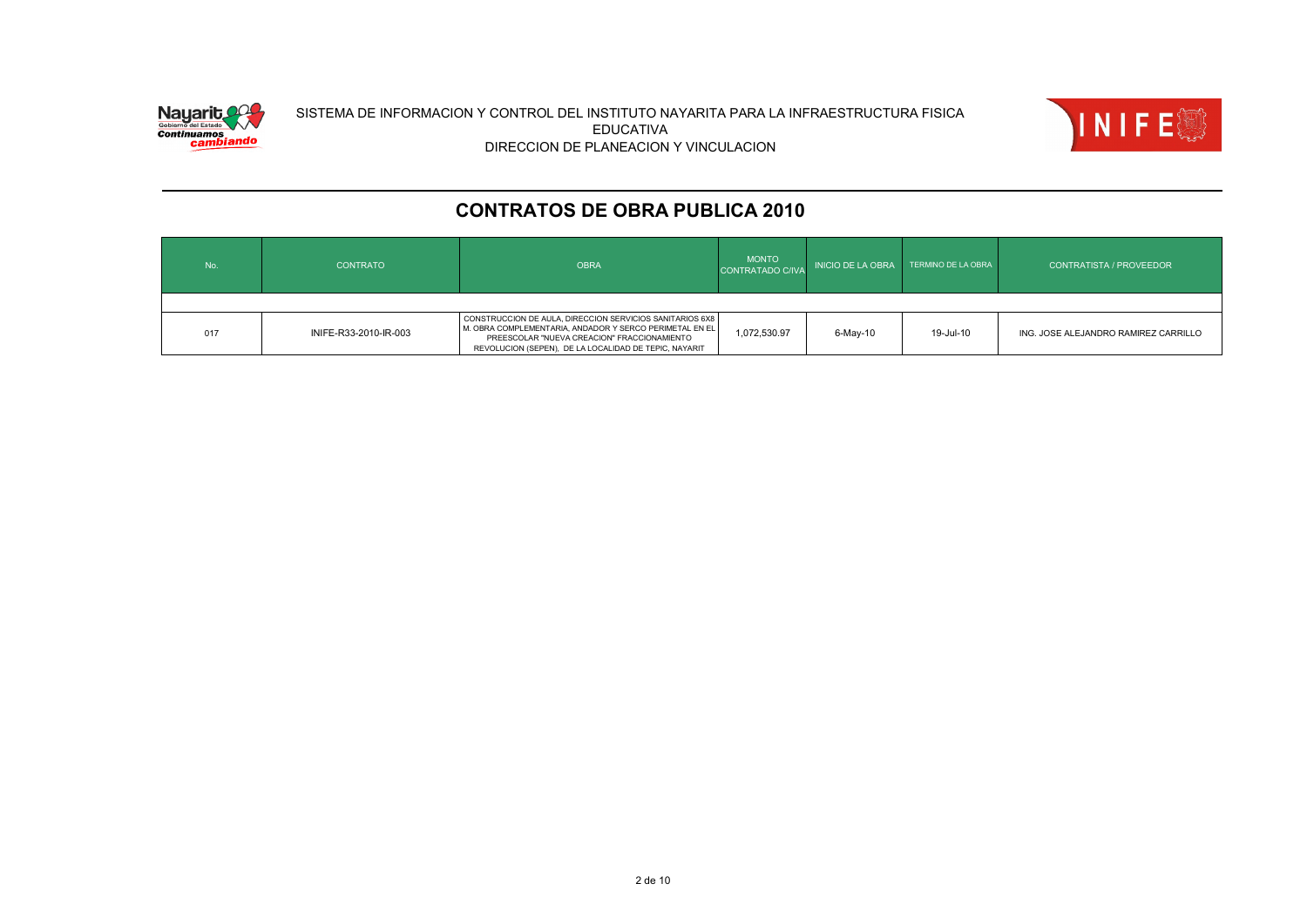



| No. | <b>CONTRATO</b>       | <b>OBRA</b>                                                                                                                                                                                                                 | <b>MONTO</b><br>CONTRATADO C/IVA | <b>INICIO DE LA OBRA</b> | TERMINO DE LA OBRA | <b>CONTRATISTA / PROVEEDOR</b>       |
|-----|-----------------------|-----------------------------------------------------------------------------------------------------------------------------------------------------------------------------------------------------------------------------|----------------------------------|--------------------------|--------------------|--------------------------------------|
|     |                       |                                                                                                                                                                                                                             |                                  |                          |                    |                                      |
| 017 | INIFE-R33-2010-IR-003 | CONSTRUCCION DE AULA, DIRECCION SERVICIOS SANITARIOS 6X8<br>M. OBRA COMPLEMENTARIA, ANDADOR Y SERCO PERIMETAL EN EL<br>PREESCOLAR "NUEVA CREACION" FRACCIONAMIENTO<br>REVOLUCION (SEPEN), DE LA LOCALIDAD DE TEPIC, NAYARIT | 1,072,530.97                     | 6-May-10                 | 19-Jul-10          | ING. JOSE ALEJANDRO RAMIREZ CARRILLO |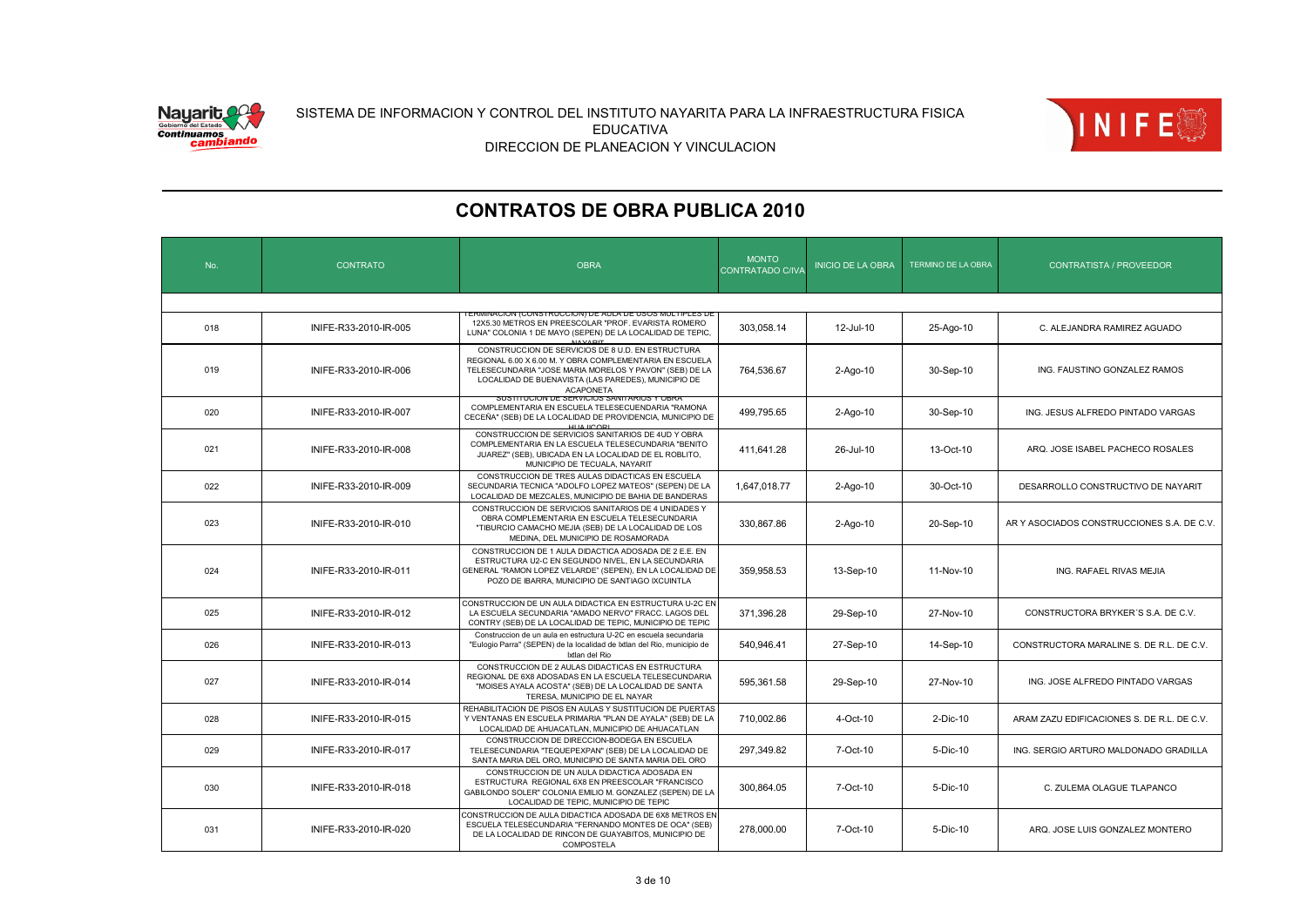



| No. | <b>CONTRATO</b>       | <b>OBRA</b>                                                                                                                                                                                                                                         | <b>MONTO</b><br>CONTRATADO C/IVA | <b>INICIO DE LA OBRA</b> | <b>TERMINO DE LA OBRA</b> | <b>CONTRATISTA / PROVEEDOR</b>             |
|-----|-----------------------|-----------------------------------------------------------------------------------------------------------------------------------------------------------------------------------------------------------------------------------------------------|----------------------------------|--------------------------|---------------------------|--------------------------------------------|
|     |                       |                                                                                                                                                                                                                                                     |                                  |                          |                           |                                            |
| 018 | INIFE-R33-2010-IR-005 | <u>ERMINACIÓN (CONSTRUCCIÓN) DE AULA DE USOS MULTIPLES DI</u><br>12X5.30 METROS EN PREESCOLAR "PROF. EVARISTA ROMERO<br>LUNA" COLONIA 1 DE MAYO (SEPEN) DE LA LOCALIDAD DE TEPIC,<br><b>NAVADIT</b>                                                 | 303.058.14                       | 12-Jul-10                | 25-Ago-10                 | C. ALEJANDRA RAMIREZ AGUADO                |
| 019 | INIFE-R33-2010-IR-006 | CONSTRUCCION DE SERVICIOS DE 8 U.D. EN ESTRUCTURA<br>REGIONAL 6.00 X 6.00 M. Y OBRA COMPLEMENTARIA EN ESCUELA<br>TELESECUNDARIA "JOSE MARIA MORELOS Y PAVON" (SEB) DE LA<br>LOCALIDAD DE BUENAVISTA (LAS PAREDES), MUNICIPIO DE<br><b>ACAPONETA</b> | 764,536.67                       | $2-Aqo-10$               | 30-Sep-10                 | ING. FAUSTINO GONZALEZ RAMOS               |
| 020 | INIFE-R33-2010-IR-007 | SUSTITUCIUN DE SERVICIUS SANITARIUS T UBR.<br>COMPLEMENTARIA EN ESCUELA TELESECUENDARIA "RAMONA<br>CECEÑA" (SEB) DE LA LOCALIDAD DE PROVIDENCIA, MUNICIPIO DE<br>HIJA IICORI                                                                        | 499,795.65                       | 2-Ago-10                 | 30-Sep-10                 | ING. JESUS ALFREDO PINTADO VARGAS          |
| 021 | INIFE-R33-2010-IR-008 | CONSTRUCCION DE SERVICIOS SANITARIOS DE 4UD Y OBRA<br>COMPLEMENTARIA EN LA ESCUELA TELESECUNDARIA "BENITO<br>JUAREZ" (SEB), UBICADA EN LA LOCALIDAD DE EL ROBLITO,<br>MUNICIPIO DE TECUALA, NAYARIT                                                 | 411.641.28                       | 26-Jul-10                | 13-Oct-10                 | ARQ. JOSE ISABEL PACHECO ROSALES           |
| 022 | INIFE-R33-2010-IR-009 | CONSTRUCCION DE TRES AULAS DIDACTICAS EN ESCUELA<br>SECUNDARIA TECNICA "ADOLFO LOPEZ MATEOS" (SEPEN) DE LA<br>LOCALIDAD DE MEZCALES, MUNICIPIO DE BAHIA DE BANDERAS                                                                                 | 1,647,018.77                     | $2-Ago-10$               | 30-Oct-10                 | DESARROLLO CONSTRUCTIVO DE NAYARIT         |
| 023 | INIFE-R33-2010-IR-010 | CONSTRUCCION DE SERVICIOS SANITARIOS DE 4 UNIDADES Y<br>OBRA COMPLEMENTARIA EN ESCUELA TELESECUNDARIA<br>"TIBURCIO CAMACHO MEJIA (SEB) DE LA LOCALIDAD DE LOS<br>MEDINA, DEL MUNICIPIO DE ROSAMORADA                                                | 330,867.86                       | $2-Aqo-10$               | 20-Sep-10                 | AR Y ASOCIADOS CONSTRUCCIONES S.A. DE C.V. |
| 024 | INIFE-R33-2010-IR-011 | CONSTRUCCION DE 1 AULA DIDACTICA ADOSADA DE 2 E.E. EN<br>ESTRUCTURA U2-C EN SEGUNDO NIVEL, EN LA SECUNDARIA<br>GENERAL "RAMON LOPEZ VELARDE" (SEPEN), EN LA LOCALIDAD DE<br>POZO DE IBARRA, MUNICIPIO DE SANTIAGO IXCUINTLA                         | 359,958.53                       | 13-Sep-10                | 11-Nov-10                 | ING. RAFAEL RIVAS MEJIA                    |
| 025 | INIFE-R33-2010-IR-012 | CONSTRUCCION DE UN AULA DIDACTICA EN ESTRUCTURA U-2C EN<br>LA ESCUELA SECUNDARIA "AMADO NERVO" FRACC. LAGOS DEL<br>CONTRY (SEB) DE LA LOCALIDAD DE TEPIC, MUNICIPIO DE TEPIC                                                                        | 371,396.28                       | 29-Sep-10                | 27-Nov-10                 | CONSTRUCTORA BRYKER'S S.A. DE C.V.         |
| 026 | INIFE-R33-2010-IR-013 | Construccion de un aula en estructura U-2C en escuela secundaria<br>"Eulogio Parra" (SEPEN) de la localidad de Ixtlan del Rio, municipio de<br>Ixtlan del Rio                                                                                       | 540,946.41                       | 27-Sep-10                | 14-Sep-10                 | CONSTRUCTORA MARALINE S. DE R.L. DE C.V.   |
| 027 | INIFE-R33-2010-IR-014 | CONSTRUCCION DE 2 AULAS DIDACTICAS EN ESTRUCTURA<br>REGIONAL DE 6X8 ADOSADAS EN LA ESCUELA TELESECUNDARIA<br>"MOISES AYALA ACOSTA" (SEB) DE LA LOCALIDAD DE SANTA<br>TERESA, MUNICIPIO DE EL NAYAR                                                  | 595.361.58                       | 29-Sep-10                | 27-Nov-10                 | ING. JOSE ALFREDO PINTADO VARGAS           |
| 028 | INIFE-R33-2010-IR-015 | REHABILITACION DE PISOS EN AULAS Y SUSTITUCION DE PUERTAS<br>Y VENTANAS EN ESCUELA PRIMARIA "PLAN DE AYALA" (SEB) DE LA<br>LOCALIDAD DE AHUACATLAN, MUNICIPIO DE AHUACATLAN                                                                         | 710,002.86                       | 4-Oct-10                 | 2-Dic-10                  | ARAM ZAZU EDIFICACIONES S. DE R.L. DE C.V. |
| 029 | INIFE-R33-2010-IR-017 | CONSTRUCCION DE DIRECCION-BODEGA EN ESCUELA<br>TELESECUNDARIA "TEQUEPEXPAN" (SEB) DE LA LOCALIDAD DE<br>SANTA MARIA DEL ORO, MUNICIPIO DE SANTA MARIA DEL ORO                                                                                       | 297,349.82                       | 7-Oct-10                 | 5-Dic-10                  | ING. SERGIO ARTURO MALDONADO GRADILLA      |
| 030 | INIFE-R33-2010-IR-018 | CONSTRUCCION DE UN AULA DIDACTICA ADOSADA EN<br>ESTRUCTURA REGIONAL 6X8 EN PREESCOLAR "FRANCISCO<br>GABILONDO SOLER" COLONIA EMILIO M. GONZALEZ (SEPEN) DE LA<br>LOCALIDAD DE TEPIC, MUNICIPIO DE TEPIC                                             | 300,864.05                       | 7-Oct-10                 | 5-Dic-10                  | C. ZULEMA OLAGUE TLAPANCO                  |
| 031 | INIFE-R33-2010-IR-020 | CONSTRUCCION DE AULA DIDACTICA ADOSADA DE 6X8 METROS EN<br>ESCUELA TELESECUNDARIA "FERNANDO MONTES DE OCA" (SEB)<br>DE LA LOCALIDAD DE RINCON DE GUAYABITOS, MUNICIPIO DE<br>COMPOSTELA                                                             | 278,000.00                       | 7-Oct-10                 | 5-Dic-10                  | ARQ. JOSE LUIS GONZALEZ MONTERO            |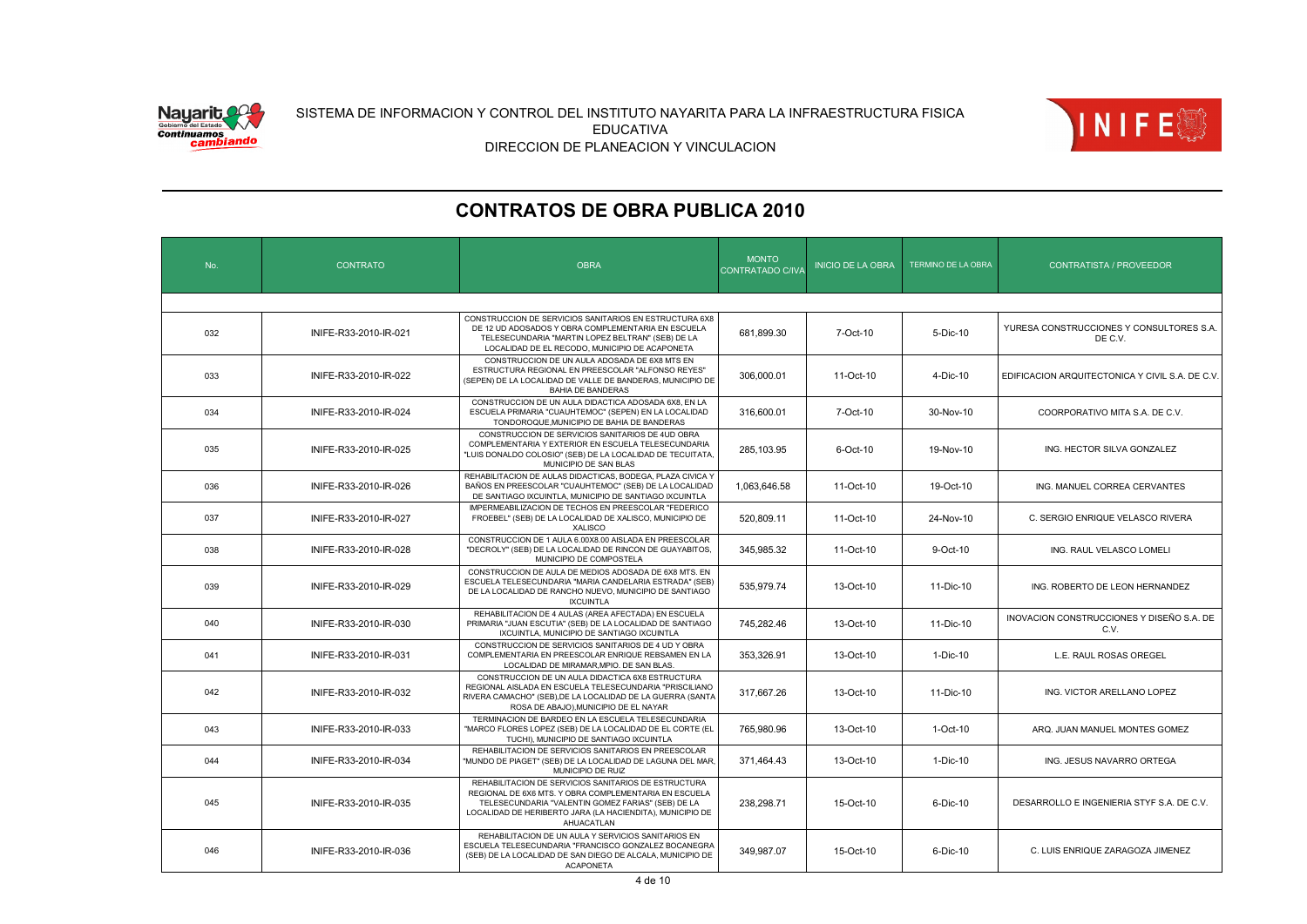

![](_page_3_Picture_2.jpeg)

| No. | <b>CONTRATO</b>       | <b>OBRA</b>                                                                                                                                                                                                                                    | <b>MONTO</b><br>CONTRATADO C/IVA | <b>INICIO DE LA OBRA</b> | TERMINO DE LA OBRA | <b>CONTRATISTA / PROVEEDOR</b>                      |
|-----|-----------------------|------------------------------------------------------------------------------------------------------------------------------------------------------------------------------------------------------------------------------------------------|----------------------------------|--------------------------|--------------------|-----------------------------------------------------|
|     |                       |                                                                                                                                                                                                                                                |                                  |                          |                    |                                                     |
| 032 | INIFE-R33-2010-IR-021 | CONSTRUCCION DE SERVICIOS SANITARIOS EN ESTRUCTURA 6X8<br>DE 12 UD ADOSADOS Y OBRA COMPLEMENTARIA EN ESCUELA<br>TELESECUNDARIA "MARTIN LOPEZ BELTRAN" (SEB) DE LA<br>LOCALIDAD DE EL RECODO, MUNICIPIO DE ACAPONETA                            | 681,899.30                       | 7-Oct-10                 | 5-Dic-10           | YURESA CONSTRUCCIONES Y CONSULTORES S.A.<br>DE C.V. |
| 033 | INIFE-R33-2010-IR-022 | CONSTRUCCION DE UN AULA ADOSADA DE 6X8 MTS EN<br>ESTRUCTURA REGIONAL EN PREESCOLAR "ALFONSO REYES"<br>(SEPEN) DE LA LOCALIDAD DE VALLE DE BANDERAS, MUNICIPIO DE<br><b>BAHIA DE BANDERAS</b>                                                   | 306.000.01                       | 11-Oct-10                | 4-Dic-10           | EDIFICACION ARQUITECTONICA Y CIVIL S.A. DE C.V.     |
| 034 | INIFE-R33-2010-IR-024 | CONSTRUCCION DE UN AULA DIDACTICA ADOSADA 6X8, EN LA<br>ESCUELA PRIMARIA "CUAUHTEMOC" (SEPEN) EN LA LOCALIDAD<br>TONDOROQUE, MUNICIPIO DE BAHIA DE BANDERAS                                                                                    | 316,600.01                       | 7-Oct-10                 | 30-Nov-10          | COORPORATIVO MITA S.A. DE C.V.                      |
| 035 | INIFE-R33-2010-IR-025 | CONSTRUCCION DE SERVICIOS SANITARIOS DE 4UD OBRA<br>COMPLEMENTARIA Y EXTERIOR EN ESCUELA TELESECUNDARIA<br>"LUIS DONALDO COLOSIO" (SEB) DE LA LOCALIDAD DE TECUITATA,<br>MUNICIPIO DE SAN BLAS                                                 | 285,103.95                       | 6-Oct-10                 | 19-Nov-10          | ING. HECTOR SILVA GONZALEZ                          |
| 036 | INIFE-R33-2010-IR-026 | REHABILITACION DE AULAS DIDACTICAS, BODEGA, PLAZA CIVICA Y<br>BAÑOS EN PREESCOLAR "CUAUHTEMOC" (SEB) DE LA LOCALIDAD<br>DE SANTIAGO IXCUINTLA, MUNICIPIO DE SANTIAGO IXCUINTLA                                                                 | 1.063.646.58                     | 11-Oct-10                | 19-Oct-10          | ING. MANUEL CORREA CERVANTES                        |
| 037 | INIFE-R33-2010-IR-027 | IMPERMEABILIZACION DE TECHOS EN PREESCOLAR "FEDERICO<br>FROEBEL" (SEB) DE LA LOCALIDAD DE XALISCO, MUNICIPIO DE<br><b>XALISCO</b>                                                                                                              | 520,809.11                       | 11-Oct-10                | 24-Nov-10          | C. SERGIO ENRIQUE VELASCO RIVERA                    |
| 038 | INIFE-R33-2010-IR-028 | CONSTRUCCION DE 1 AULA 6.00X8.00 AISLADA EN PREESCOLAR<br>"DECROLY" (SEB) DE LA LOCALIDAD DE RINCON DE GUAYABITOS,<br>MUNICIPIO DE COMPOSTELA                                                                                                  | 345,985.32                       | 11-Oct-10                | 9-Oct-10           | ING. RAUL VELASCO LOMELI                            |
| 039 | INIFE-R33-2010-IR-029 | CONSTRUCCION DE AULA DE MEDIOS ADOSADA DE 6X8 MTS. EN<br>ESCUELA TELESECUNDARIA "MARIA CANDELARIA ESTRADA" (SEB)<br>DE LA LOCALIDAD DE RANCHO NUEVO, MUNICIPIO DE SANTIAGO<br><b>IXCUINTLA</b>                                                 | 535.979.74                       | 13-Oct-10                | 11-Dic-10          | ING. ROBERTO DE LEON HERNANDEZ                      |
| 040 | INIFE-R33-2010-IR-030 | REHABILITACION DE 4 AULAS (AREA AFECTADA) EN ESCUELA<br>PRIMARIA "JUAN ESCUTIA" (SEB) DE LA LOCALIDAD DE SANTIAGO<br>IXCUINTLA, MUNICIPIO DE SANTIAGO IXCUINTLA                                                                                | 745,282.46                       | 13-Oct-10                | 11-Dic-10          | INOVACION CONSTRUCCIONES Y DISEÑO S.A. DE<br>C.V.   |
| 041 | INIFE-R33-2010-IR-031 | CONSTRUCCION DE SERVICIOS SANITARIOS DE 4 UD Y OBRA<br>COMPLEMENTARIA EN PREESCOLAR ENRIQUE REBSAMEN EN LA<br>LOCALIDAD DE MIRAMAR, MPIO. DE SAN BLAS.                                                                                         | 353,326.91                       | 13-Oct-10                | 1-Dic-10           | L.E. RAUL ROSAS OREGEL                              |
| 042 | INIFE-R33-2010-IR-032 | CONSTRUCCION DE UN AULA DIDACTICA 6X8 ESTRUCTURA<br>REGIONAL AISLADA EN ESCUELA TELESECUNDARIA "PRISCILIANO<br>RIVERA CAMACHO" (SEB), DE LA LOCALIDAD DE LA GUERRA (SANTA<br>ROSA DE ABAJO), MUNICIPIO DE EL NAYAR                             | 317,667.26                       | 13-Oct-10                | 11-Dic-10          | ING. VICTOR ARELLANO LOPEZ                          |
| 043 | INIFE-R33-2010-IR-033 | TERMINACION DE BARDEO EN LA ESCUELA TELESECUNDARIA<br>"MARCO FLORES LOPEZ (SEB) DE LA LOCALIDAD DE EL CORTE (EL<br>TUCHI), MUNICIPIO DE SANTIAGO IXCUINTLA                                                                                     | 765,980.96                       | 13-Oct-10                | 1-Oct-10           | ARQ. JUAN MANUEL MONTES GOMEZ                       |
| 044 | INIFE-R33-2010-IR-034 | REHABILITACION DE SERVICIOS SANITARIOS EN PREESCOLAR<br>"MUNDO DE PIAGET" (SEB) DE LA LOCALIDAD DE LAGUNA DEL MAR,<br>MUNICIPIO DE RUIZ                                                                                                        | 371,464.43                       | 13-Oct-10                | 1-Dic-10           | ING. JESUS NAVARRO ORTEGA                           |
| 045 | INIFE-R33-2010-IR-035 | REHABILITACION DE SERVICIOS SANITARIOS DE ESTRUCTURA<br>REGIONAL DE 6X6 MTS. Y OBRA COMPLEMENTARIA EN ESCUELA<br>TELESECUNDARIA "VALENTIN GOMEZ FARIAS" (SEB) DE LA<br>LOCALIDAD DE HERIBERTO JARA (LA HACIENDITA), MUNICIPIO DE<br>AHUACATLAN | 238,298.71                       | 15-Oct-10                | 6-Dic-10           | DESARROLLO E INGENIERIA STYF S.A. DE C.V.           |
| 046 | INIFE-R33-2010-IR-036 | REHABILITACION DE UN AULA Y SERVICIOS SANITARIOS EN<br>ESCUELA TELESECUNDARIA "FRANCISCO GONZALEZ BOCANEGRA<br>(SEB) DE LA LOCALIDAD DE SAN DIEGO DE ALCALA, MUNICIPIO DE<br><b>ACAPONETA</b>                                                  | 349.987.07                       | 15-Oct-10                | $6-Dic-10$         | C. LUIS ENRIQUE ZARAGOZA JIMENEZ                    |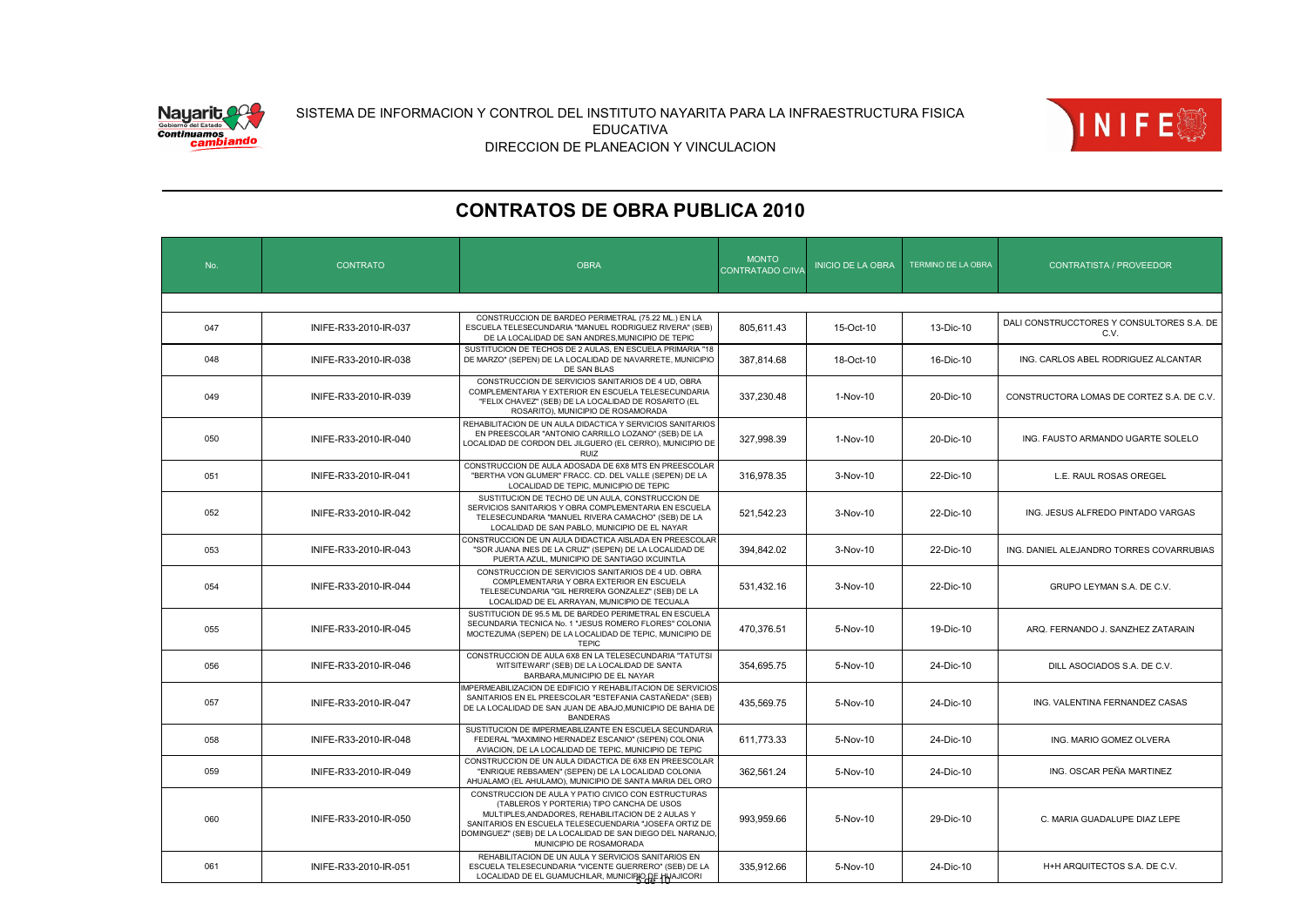![](_page_4_Picture_0.jpeg)

![](_page_4_Picture_2.jpeg)

| No. | <b>CONTRATO</b>       | <b>OBRA</b>                                                                                                                                                                                                                                                                                             | <b>MONTO</b><br>CONTRATADO C/IVA | <b>INICIO DE LA OBRA</b> | <b>TERMINO DE LA OBRA</b> | <b>CONTRATISTA / PROVEEDOR</b>                    |  |  |  |
|-----|-----------------------|---------------------------------------------------------------------------------------------------------------------------------------------------------------------------------------------------------------------------------------------------------------------------------------------------------|----------------------------------|--------------------------|---------------------------|---------------------------------------------------|--|--|--|
|     |                       |                                                                                                                                                                                                                                                                                                         |                                  |                          |                           |                                                   |  |  |  |
| 047 | INIFE-R33-2010-IR-037 | CONSTRUCCION DE BARDEO PERIMETRAL (75.22 ML.) EN LA<br>ESCUELA TELESECUNDARIA "MANUEL RODRIGUEZ RIVERA" (SEB)<br>DE LA LOCALIDAD DE SAN ANDRES, MUNICIPIO DE TEPIC                                                                                                                                      | 805.611.43                       | 15-Oct-10                | 13-Dic-10                 | DALI CONSTRUCCTORES Y CONSULTORES S.A. DE<br>C.V. |  |  |  |
| 048 | INIFE-R33-2010-IR-038 | SUSTITUCION DE TECHOS DE 2 AULAS, EN ESCUELA PRIMARIA "18<br>DE MARZO" (SEPEN) DE LA LOCALIDAD DE NAVARRETE, MUNICIPIO<br>DE SAN BLAS                                                                                                                                                                   | 387,814.68                       | 18-Oct-10                | 16-Dic-10                 | ING. CARLOS ABEL RODRIGUEZ ALCANTAR               |  |  |  |
| 049 | INIFE-R33-2010-IR-039 | CONSTRUCCION DE SERVICIOS SANITARIOS DE 4 UD, OBRA<br>COMPLEMENTARIA Y EXTERIOR EN ESCUELA TELESECUNDARIA<br>"FELIX CHAVEZ" (SEB) DE LA LOCALIDAD DE ROSARITO (EL<br>ROSARITO), MUNICIPIO DE ROSAMORADA                                                                                                 | 337,230.48                       | 1-Nov-10                 | 20-Dic-10                 | CONSTRUCTORA LOMAS DE CORTEZ S.A. DE C.V.         |  |  |  |
| 050 | INIFE-R33-2010-IR-040 | REHABILITACION DE UN AULA DIDACTICA Y SERVICIOS SANITARIOS<br>EN PREESCOLAR "ANTONIO CARRILLO LOZANO" (SEB) DE LA<br>LOCALIDAD DE CORDON DEL JILGUERO (EL CERRO), MUNICIPIO DE<br><b>RUIZ</b>                                                                                                           | 327.998.39                       | 1-Nov-10                 | 20-Dic-10                 | ING. FAUSTO ARMANDO UGARTE SOLELO                 |  |  |  |
| 051 | INIFE-R33-2010-IR-041 | CONSTRUCCION DE AULA ADOSADA DE 6X8 MTS EN PREESCOLAR<br>"BERTHA VON GLUMER" FRACC. CD. DEL VALLE (SEPEN) DE LA<br>LOCALIDAD DE TEPIC, MUNICIPIO DE TEPIC                                                                                                                                               | 316,978.35                       | 3-Nov-10                 | 22-Dic-10                 | L.E. RAUL ROSAS OREGEL                            |  |  |  |
| 052 | INIFE-R33-2010-IR-042 | SUSTITUCION DE TECHO DE UN AULA, CONSTRUCCION DE<br>SERVICIOS SANITARIOS Y OBRA COMPLEMENTARIA EN ESCUELA<br>TELESECUNDARIA "MANUEL RIVERA CAMACHO" (SEB) DE LA<br>LOCALIDAD DE SAN PABLO, MUNICIPIO DE EL NAYAR                                                                                        | 521.542.23                       | $3-Nov-10$               | 22-Dic-10                 | ING. JESUS ALFREDO PINTADO VARGAS                 |  |  |  |
| 053 | INIFE-R33-2010-IR-043 | CONSTRUCCION DE UN AULA DIDACTICA AISLADA EN PREESCOLAR<br>"SOR JUANA INES DE LA CRUZ" (SEPEN) DE LA LOCALIDAD DE<br>PUERTA AZUL, MUNICIPIO DE SANTIAGO IXCUINTLA                                                                                                                                       | 394,842.02                       | 3-Nov-10                 | 22-Dic-10                 | ING. DANIEL ALEJANDRO TORRES COVARRUBIAS          |  |  |  |
| 054 | INIFE-R33-2010-IR-044 | CONSTRUCCION DE SERVICIOS SANITARIOS DE 4 UD. OBRA<br>COMPLEMENTARIA Y OBRA EXTERIOR EN ESCUELA<br>TELESECUNDARIA "GIL HERRERA GONZALEZ" (SEB) DE LA<br>LOCALIDAD DE EL ARRAYAN, MUNICIPIO DE TECUALA                                                                                                   | 531,432.16                       | 3-Nov-10                 | 22-Dic-10                 | GRUPO LEYMAN S.A. DE C.V.                         |  |  |  |
| 055 | INIFE-R33-2010-IR-045 | SUSTITUCION DE 95.5 ML DE BARDEO PERIMETRAL EN ESCUELA<br>SECUNDARIA TECNICA No. 1 "JESUS ROMERO FLORES" COLONIA<br>MOCTEZUMA (SEPEN) DE LA LOCALIDAD DE TEPIC, MUNICIPIO DE<br><b>TEPIC</b>                                                                                                            | 470,376.51                       | 5-Nov-10                 | 19-Dic-10                 | ARQ, FERNANDO J, SANZHEZ ZATARAIN                 |  |  |  |
| 056 | INIFE-R33-2010-IR-046 | CONSTRUCCION DE AULA 6X8 EN LA TELESECUNDARIA "TATUTSI<br>WITSITEWARI" (SEB) DE LA LOCALIDAD DE SANTA<br>BARBARA, MUNICIPIO DE EL NAYAR                                                                                                                                                                 | 354,695.75                       | 5-Nov-10                 | 24-Dic-10                 | DILL ASOCIADOS S.A. DE C.V.                       |  |  |  |
| 057 | INIFE-R33-2010-IR-047 | IMPERMEABILIZACION DE EDIFICIO Y REHABILITACION DE SERVICIOS<br>SANITARIOS EN EL PREESCOLAR "ESTEFANIA CASTAÑEDA" (SEB)<br>DE LA LOCALIDAD DE SAN JUAN DE ABAJO, MUNICIPIO DE BAHIA DE<br><b>BANDERAS</b>                                                                                               | 435,569.75                       | 5-Nov-10                 | 24-Dic-10                 | ING. VALENTINA FERNANDEZ CASAS                    |  |  |  |
| 058 | INIFE-R33-2010-IR-048 | SUSTITUCION DE IMPERMEABILIZANTE EN ESCUELA SECUNDARIA<br>FEDERAL "MAXIMINO HERNADEZ ESCANIO" (SEPEN) COLONIA<br>AVIACION, DE LA LOCALIDAD DE TEPIC, MUNICIPIO DE TEPIC                                                                                                                                 | 611,773.33                       | 5-Nov-10                 | 24-Dic-10                 | ING. MARIO GOMEZ OLVERA                           |  |  |  |
| 059 | INIFE-R33-2010-IR-049 | CONSTRUCCION DE UN AULA DIDACTICA DE 6X8 EN PREESCOLAR<br>"ENRIQUE REBSAMEN" (SEPEN) DE LA LOCALIDAD COLONIA<br>AHUALAMO (EL AHULAMO), MUNICIPIO DE SANTA MARIA DEL ORO                                                                                                                                 | 362,561.24                       | 5-Nov-10                 | 24-Dic-10                 | ING. OSCAR PEÑA MARTINEZ                          |  |  |  |
| 060 | INIFE-R33-2010-IR-050 | CONSTRUCCION DE AULA Y PATIO CIVICO CON ESTRUCTURAS<br>(TABLEROS Y PORTERIA) TIPO CANCHA DE USOS<br>MULTIPLES.ANDADORES. REHABILITACION DE 2 AULAS Y<br>SANITARIOS EN ESCUELA TELESECUENDARIA "JOSEFA ORTIZ DE<br>DOMINGUEZ" (SEB) DE LA LOCALIDAD DE SAN DIEGO DEL NARANJO,<br>MUNICIPIO DE ROSAMORADA | 993,959.66                       | 5-Nov-10                 | 29-Dic-10                 | C. MARIA GUADALUPE DIAZ LEPE                      |  |  |  |
| 061 | INIFE-R33-2010-IR-051 | REHABILITACION DE UN AULA Y SERVICIOS SANITARIOS EN<br>ESCUELA TELESECUNDARIA "VICENTE GUERRERO" (SEB) DE LA<br>LOCALIDAD DE EL GUAMUCHILAR, MUNICIPIO DE HINAJICORI                                                                                                                                    | 335.912.66                       | 5-Nov-10                 | 24-Dic-10                 | H+H ARQUITECTOS S.A. DE C.V.                      |  |  |  |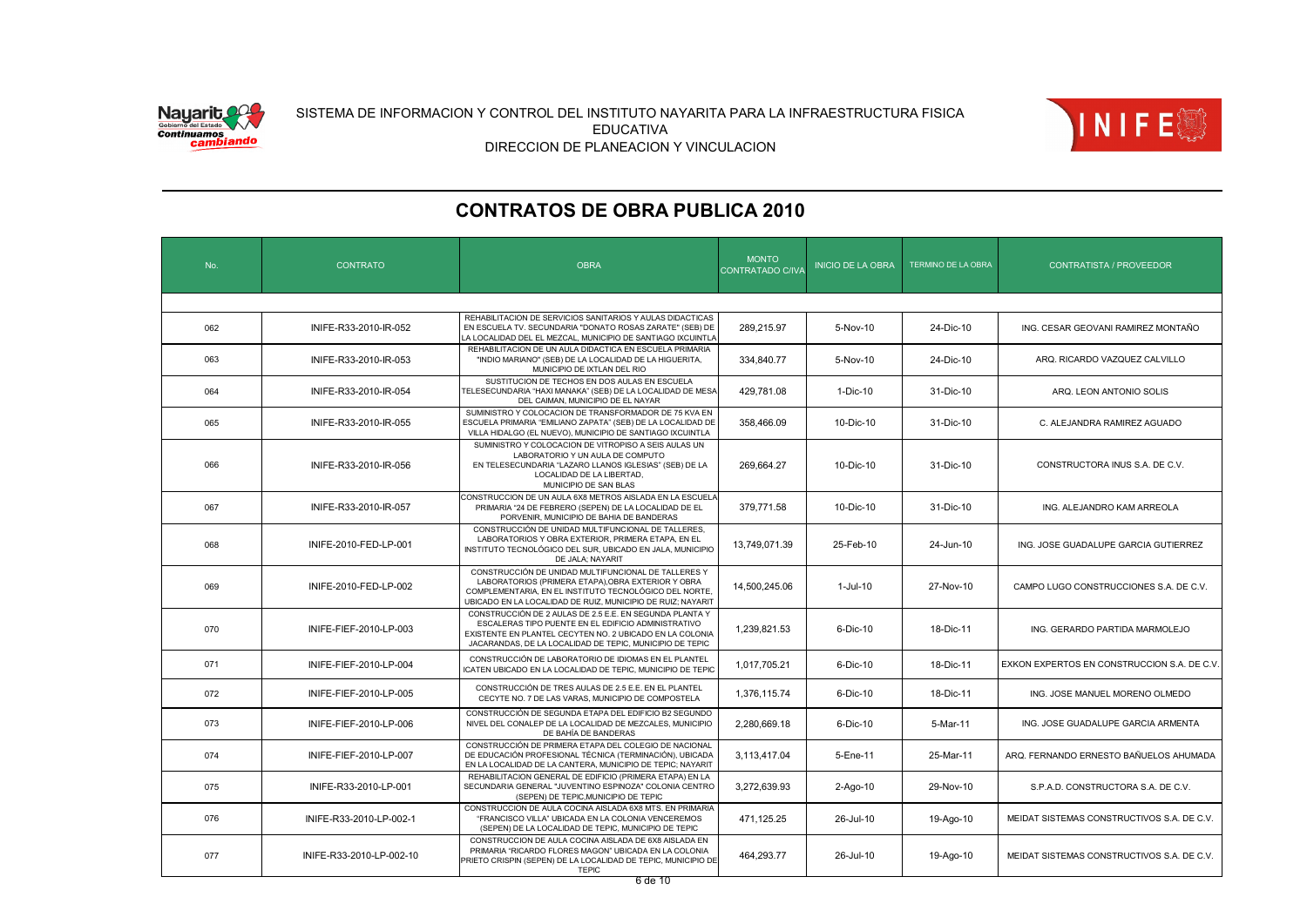![](_page_5_Picture_0.jpeg)

![](_page_5_Picture_2.jpeg)

| No. | <b>CONTRATO</b>          | <b>OBRA</b>                                                                                                                                                                                                                            | <b>MONTO</b><br>CONTRATADO C/IVA | <b>INICIO DE LA OBRA</b> | TERMINO DE LA OBRA | <b>CONTRATISTA / PROVEEDOR</b>              |  |  |  |  |
|-----|--------------------------|----------------------------------------------------------------------------------------------------------------------------------------------------------------------------------------------------------------------------------------|----------------------------------|--------------------------|--------------------|---------------------------------------------|--|--|--|--|
|     |                          |                                                                                                                                                                                                                                        |                                  |                          |                    |                                             |  |  |  |  |
| 062 | INIFE-R33-2010-IR-052    | REHABILITACION DE SERVICIOS SANITARIOS Y AULAS DIDACTICAS<br>EN ESCUELA TV. SECUNDARIA "DONATO ROSAS ZARATE" (SEB) DE<br>LA LOCALIDAD DEL EL MEZCAL, MUNICIPIO DE SANTIAGO IXCUINTLA                                                   | 289,215.97                       | 5-Nov-10                 | 24-Dic-10          | ING. CESAR GEOVANI RAMIREZ MONTAÑO          |  |  |  |  |
| 063 | INIFE-R33-2010-IR-053    | REHABILITACION DE UN AULA DIDACTICA EN ESCUELA PRIMARIA<br>"INDIO MARIANO" (SEB) DE LA LOCALIDAD DE LA HIGUERITA,<br>MUNICIPIO DE IXTLAN DEL RIO                                                                                       | 334,840.77                       | 5-Nov-10                 | 24-Dic-10          | ARQ. RICARDO VAZQUEZ CALVILLO               |  |  |  |  |
| 064 | INIFE-R33-2010-IR-054    | SUSTITUCION DE TECHOS EN DOS AULAS EN ESCUELA<br>TELESECUNDARIA "HAXI MANAKA" (SEB) DE LA LOCALIDAD DE MESA<br>DEL CAIMAN, MUNICIPIO DE EL NAYAR                                                                                       | 429,781.08                       | 1-Dic-10                 | 31-Dic-10          | ARQ. LEON ANTONIO SOLIS                     |  |  |  |  |
| 065 | INIFE-R33-2010-IR-055    | SUMINISTRO Y COLOCACION DE TRANSFORMADOR DE 75 KVA EN<br>ESCUELA PRIMARIA "EMILIANO ZAPATA" (SEB) DE LA LOCALIDAD DE<br>VILLA HIDALGO (EL NUEVO), MUNICIPIO DE SANTIAGO IXCUINTLA                                                      | 358,466.09                       | 10-Dic-10                | 31-Dic-10          | C. ALEJANDRA RAMIREZ AGUADO                 |  |  |  |  |
| 066 | INIFE-R33-2010-IR-056    | SUMINISTRO Y COLOCACION DE VITROPISO A SEIS AULAS UN<br>LABORATORIO Y UN AULA DE COMPUTO<br>EN TELESECUNDARIA "LAZARO LLANOS IGLESIAS" (SEB) DE LA<br>LOCALIDAD DE LA LIBERTAD,<br>MUNICIPIO DE SAN BLAS                               | 269,664.27                       | 10-Dic-10                | 31-Dic-10          | CONSTRUCTORA INUS S.A. DE C.V.              |  |  |  |  |
| 067 | INIFE-R33-2010-IR-057    | CONSTRUCCION DE UN AULA 6X8 METROS AISLADA EN LA ESCUELA<br>PRIMARIA "24 DE FEBRERO (SEPEN) DE LA LOCALIDAD DE EL<br>PORVENIR, MUNICIPIO DE BAHIA DE BANDERAS                                                                          | 379,771.58                       | 10-Dic-10                | 31-Dic-10          | ING. ALEJANDRO KAM ARREOLA                  |  |  |  |  |
| 068 | INIFE-2010-FED-LP-001    | CONSTRUCCIÓN DE UNIDAD MULTIFUNCIONAL DE TALLERES,<br>LABORATORIOS Y OBRA EXTERIOR, PRIMERA ETAPA, EN EL<br>INSTITUTO TECNOLÓGICO DEL SUR, UBICADO EN JALA, MUNICIPIO<br>DE JALA; NAYARIT                                              | 13,749,071.39                    | 25-Feb-10                | 24-Jun-10          | ING. JOSE GUADALUPE GARCIA GUTIERREZ        |  |  |  |  |
| 069 | INIFE-2010-FED-LP-002    | CONSTRUCCIÓN DE UNIDAD MULTIFUNCIONAL DE TALLERES Y<br>LABORATORIOS (PRIMERA ETAPA), OBRA EXTERIOR Y OBRA<br>COMPLEMENTARIA, EN EL INSTITUTO TECNOLÓGICO DEL NORTE.<br>UBICADO EN LA LOCALIDAD DE RUIZ, MUNICIPIO DE RUIZ; NAYARIT     | 14,500,245.06                    | 1-Jul-10                 | 27-Nov-10          | CAMPO LUGO CONSTRUCCIONES S.A. DE C.V.      |  |  |  |  |
| 070 | INIFE-FIEF-2010-LP-003   | CONSTRUCCIÓN DE 2 AULAS DE 2.5 E.E. EN SEGUNDA PLANTA Y<br>ESCALERAS TIPO PUENTE EN EL EDIFICIO ADMINISTRATIVO<br>EXISTENTE EN PLANTEL CECYTEN NO. 2 UBICADO EN LA COLONIA<br>JACARANDAS, DE LA LOCALIDAD DE TEPIC, MUNICIPIO DE TEPIC | 1,239,821.53                     | 6-Dic-10                 | 18-Dic-11          | ING. GERARDO PARTIDA MARMOLEJO              |  |  |  |  |
| 071 | INIFE-FIEF-2010-LP-004   | CONSTRUCCIÓN DE LABORATORIO DE IDIOMAS EN EL PLANTEL<br>ICATEN UBICADO EN LA LOCALIDAD DE TEPIC, MUNICIPIO DE TEPIC                                                                                                                    | 1,017,705.21                     | 6-Dic-10                 | 18-Dic-11          | EXKON EXPERTOS EN CONSTRUCCION S.A. DE C.V. |  |  |  |  |
| 072 | INIFE-FIEF-2010-LP-005   | CONSTRUCCIÓN DE TRES AULAS DE 2.5 E.E. EN EL PLANTEL<br>CECYTE NO. 7 DE LAS VARAS, MUNICIPIO DE COMPOSTELA                                                                                                                             | 1,376,115.74                     | 6-Dic-10                 | 18-Dic-11          | ING. JOSE MANUEL MORENO OLMEDO              |  |  |  |  |
| 073 | INIFE-FIEF-2010-LP-006   | CONSTRUCCIÓN DE SEGUNDA ETAPA DEL EDIFICIO B2 SEGUNDO<br>NIVEL DEL CONALEP DE LA LOCALIDAD DE MEZCALES, MUNICIPIO<br>DE BAHÍA DE BANDERAS                                                                                              | 2,280,669.18                     | 6-Dic-10                 | 5-Mar-11           | ING. JOSE GUADALUPE GARCIA ARMENTA          |  |  |  |  |
| 074 | INIFE-FIEF-2010-LP-007   | CONSTRUCCIÓN DE PRIMERA ETAPA DEL COLEGIO DE NACIONAL<br>DE EDUCACIÓN PROFESIONAL TÉCNICA (TERMINACIÓN), UBICADA<br>EN LA LOCALIDAD DE LA CANTERA, MUNICIPIO DE TEPIC; NAYARIT                                                         | 3,113,417.04                     | 5-Ene-11                 | 25-Mar-11          | ARQ. FERNANDO ERNESTO BAÑUELOS AHUMADA      |  |  |  |  |
| 075 | INIFE-R33-2010-LP-001    | REHABILITACION GENERAL DE EDIFICIO (PRIMERA ETAPA) EN LA<br>SECUNDARIA GENERAL "JUVENTINO ESPINOZA" COLONIA CENTRO<br>(SEPEN) DE TEPIC, MUNICIPIO DE TEPIC                                                                             | 3,272,639.93                     | 2-Ago-10                 | 29-Nov-10          | S.P.A.D. CONSTRUCTORA S.A. DE C.V.          |  |  |  |  |
| 076 | INIFE-R33-2010-LP-002-1  | CONSTRUCCION DE AULA COCINA AISLADA 6X8 MTS. EN PRIMARIA<br>"FRANCISCO VILLA" UBICADA EN LA COLONIA VENCEREMOS<br>(SEPEN) DE LA LOCALIDAD DE TEPIC, MUNICIPIO DE TEPIC                                                                 | 471,125.25                       | 26-Jul-10                | 19-Ago-10          | MEIDAT SISTEMAS CONSTRUCTIVOS S.A. DE C.V.  |  |  |  |  |
| 077 | INIFE-R33-2010-LP-002-10 | CONSTRUCCION DE AULA COCINA AISLADA DE 6X8 AISLADA EN<br>PRIMARIA "RICARDO FLORES MAGON" UBICADA EN LA COLONIA<br>PRIETO CRISPIN (SEPEN) DE LA LOCALIDAD DE TEPIC, MUNICIPIO DE<br><b>TEPIC</b>                                        | 464,293.77                       | 26-Jul-10                | 19-Ago-10          | MEIDAT SISTEMAS CONSTRUCTIVOS S.A. DE C.V.  |  |  |  |  |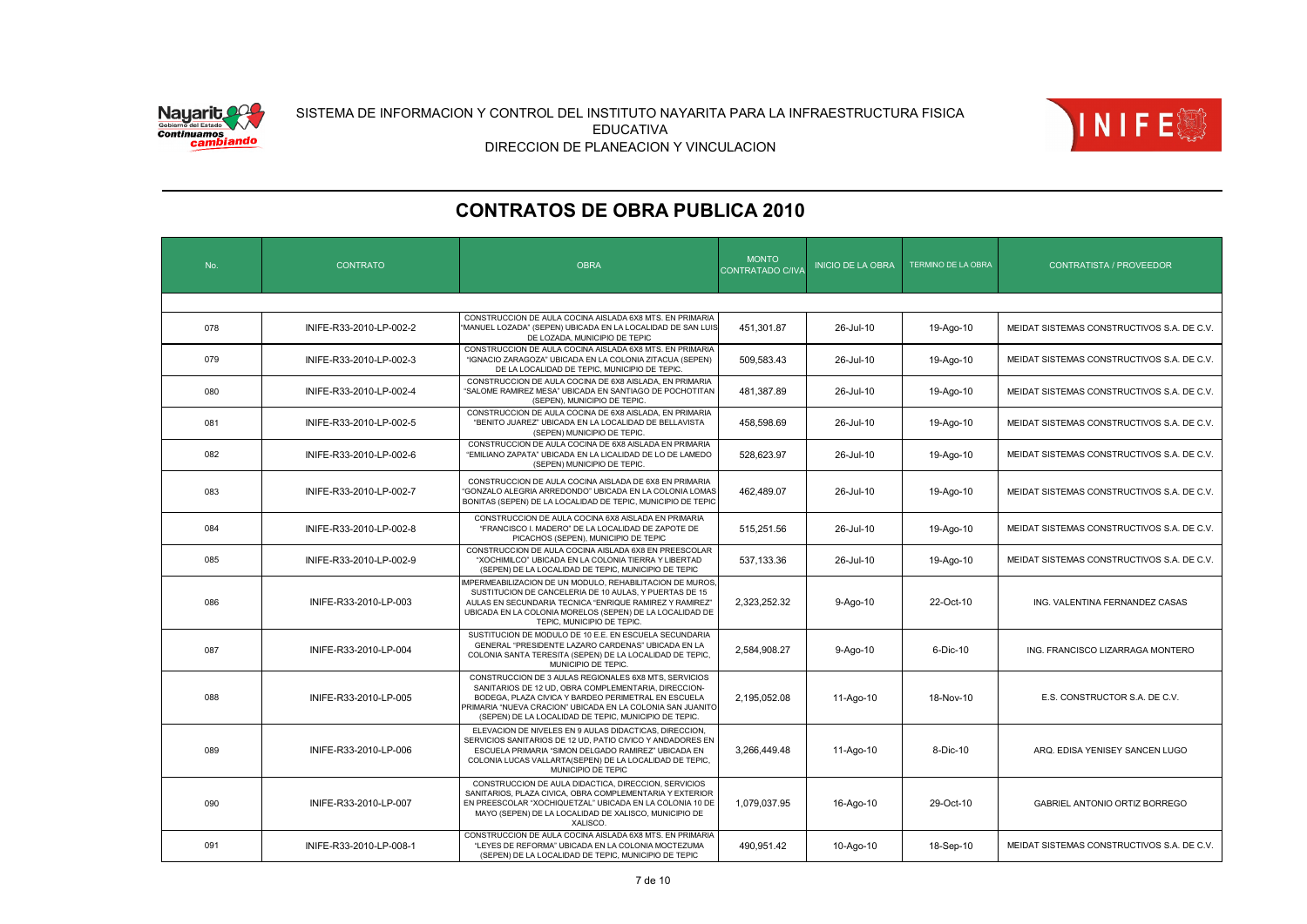![](_page_6_Picture_0.jpeg)

![](_page_6_Picture_2.jpeg)

|  | No. | <b>CONTRATO</b>         | <b>OBRA</b>                                                                                                                                                                                                                                                                                 | <b>MONTO</b><br>CONTRATADO C/IVA | <b>INICIO DE LA OBRA</b> | TERMINO DE LA OBRA | <b>CONTRATISTA / PROVEEDOR</b>             |  |  |  |
|--|-----|-------------------------|---------------------------------------------------------------------------------------------------------------------------------------------------------------------------------------------------------------------------------------------------------------------------------------------|----------------------------------|--------------------------|--------------------|--------------------------------------------|--|--|--|
|  |     |                         |                                                                                                                                                                                                                                                                                             |                                  |                          |                    |                                            |  |  |  |
|  | 078 | INIFE-R33-2010-LP-002-2 | CONSTRUCCION DE AULA COCINA AISLADA 6X8 MTS. EN PRIMARIA<br>"MANUEL LOZADA" (SEPEN) UBICADA EN LA LOCALIDAD DE SAN LUIS<br>DE LOZADA, MUNICIPIO DE TEPIC                                                                                                                                    | 451.301.87                       | 26-Jul-10                | 19-Ago-10          | MEIDAT SISTEMAS CONSTRUCTIVOS S.A. DE C.V. |  |  |  |
|  | 079 | INIFE-R33-2010-LP-002-3 | CONSTRUCCION DE AULA COCINA AISLADA 6X8 MTS. EN PRIMARIA<br>"IGNACIO ZARAGOZA" UBICADA EN LA COLONIA ZITACUA (SEPEN)<br>DE LA LOCALIDAD DE TEPIC, MUNICIPIO DE TEPIC                                                                                                                        | 509.583.43                       | 26-Jul-10                | 19-Ago-10          | MEIDAT SISTEMAS CONSTRUCTIVOS S.A. DE C.V. |  |  |  |
|  | 080 | INIFE-R33-2010-LP-002-4 | CONSTRUCCION DE AULA COCINA DE 6X8 AISLADA. EN PRIMARIA<br>"SALOME RAMIREZ MESA" UBICADA EN SANTIAGO DE POCHOTITAN<br>(SEPEN), MUNICIPIO DE TEPIC.                                                                                                                                          | 481.387.89                       | 26-Jul-10                | 19-Ago-10          | MEIDAT SISTEMAS CONSTRUCTIVOS S.A. DE C.V. |  |  |  |
|  | 081 | INIFE-R33-2010-LP-002-5 | CONSTRUCCION DE AULA COCINA DE 6X8 AISLADA, EN PRIMARIA<br>"BENITO JUAREZ" UBICADA EN LA LOCALIDAD DE BELLAVISTA<br>(SEPEN) MUNICIPIO DE TEPIC.                                                                                                                                             | 458.598.69                       | 26-Jul-10                | 19-Ago-10          | MEIDAT SISTEMAS CONSTRUCTIVOS S.A. DE C.V. |  |  |  |
|  | 082 | INIFE-R33-2010-LP-002-6 | CONSTRUCCION DE AULA COCINA DE 6X8 AISLADA EN PRIMARIA<br>"EMILIANO ZAPATA" UBICADA EN LA LICALIDAD DE LO DE LAMEDO<br>(SEPEN) MUNICIPIO DE TEPIC.                                                                                                                                          | 528.623.97                       | 26-Jul-10                | 19-Ago-10          | MEIDAT SISTEMAS CONSTRUCTIVOS S.A. DE C.V. |  |  |  |
|  | 083 | INIFE-R33-2010-LP-002-7 | CONSTRUCCION DE AULA COCINA AISLADA DE 6X8 EN PRIMARIA<br>'GONZALO ALEGRIA ARREDONDO" UBICADA EN LA COLONIA LOMAS<br>BONITAS (SEPEN) DE LA LOCALIDAD DE TEPIC, MUNICIPIO DE TEPIC                                                                                                           | 462.489.07                       | 26-Jul-10                | 19-Ago-10          | MEIDAT SISTEMAS CONSTRUCTIVOS S.A. DE C.V. |  |  |  |
|  | 084 | INIFE-R33-2010-LP-002-8 | CONSTRUCCION DE AULA COCINA 6X8 AISLADA EN PRIMARIA<br>"FRANCISCO I. MADERO" DE LA LOCALIDAD DE ZAPOTE DE<br>PICACHOS (SEPEN), MUNICIPIO DE TEPIC                                                                                                                                           | 515,251.56                       | 26-Jul-10                | 19-Ago-10          | MEIDAT SISTEMAS CONSTRUCTIVOS S.A. DE C.V. |  |  |  |
|  | 085 | INIFE-R33-2010-LP-002-9 | CONSTRUCCION DE AULA COCINA AISLADA 6X8 EN PREESCOLAR<br>"XOCHIMILCO" UBICADA EN LA COLONIA TIERRA Y LIBERTAD<br>(SEPEN) DE LA LOCALIDAD DE TEPIC, MUNICIPIO DE TEPIC                                                                                                                       | 537,133.36                       | 26-Jul-10                | 19-Ago-10          | MEIDAT SISTEMAS CONSTRUCTIVOS S.A. DE C.V. |  |  |  |
|  | 086 | INIFE-R33-2010-LP-003   | MPERMEABILIZACION DE UN MODULO, REHABILITACION DE MUROS<br>SUSTITUCION DE CANCELERIA DE 10 AULAS, Y PUERTAS DE 15<br>AULAS EN SECUNDARIA TECNICA "ENRIQUE RAMIREZ Y RAMIREZ"<br>UBICADA EN LA COLONIA MORELOS (SEPEN) DE LA LOCALIDAD DE<br>TEPIC, MUNICIPIO DE TEPIC.                      | 2.323.252.32                     | 9-Ago-10                 | 22-Oct-10          | ING. VALENTINA FERNANDEZ CASAS             |  |  |  |
|  | 087 | INIFE-R33-2010-LP-004   | SUSTITUCION DE MODULO DE 10 E.E. EN ESCUELA SECUNDARIA<br>GENERAL "PRESIDENTE LAZARO CARDENAS" UBICADA EN LA<br>COLONIA SANTA TERESITA (SEPEN) DE LA LOCALIDAD DE TEPIC,<br>MUNICIPIO DE TEPIC.                                                                                             | 2,584,908.27                     | 9-Ago-10                 | 6-Dic-10           | ING. FRANCISCO LIZARRAGA MONTERO           |  |  |  |
|  | 088 | INIFE-R33-2010-LP-005   | CONSTRUCCION DE 3 AULAS REGIONALES 6X8 MTS, SERVICIOS<br>SANITARIOS DE 12 UD, OBRA COMPLEMENTARIA, DIRECCION-<br>BODEGA, PLAZA CIVICA Y BARDEO PERIMETRAL EN ESCUELA<br>PRIMARIA "NUEVA CRACION" UBICADA EN LA COLONIA SAN JUANITO<br>(SEPEN) DE LA LOCALIDAD DE TEPIC, MUNICIPIO DE TEPIC. | 2,195,052.08                     | 11-Ago-10                | 18-Nov-10          | E.S. CONSTRUCTOR S.A. DE C.V.              |  |  |  |
|  | 089 | INIFE-R33-2010-LP-006   | ELEVACION DE NIVELES EN 9 AULAS DIDACTICAS, DIRECCION,<br>SERVICIOS SANITARIOS DE 12 UD, PATIO CIVICO Y ANDADORES EN<br>ESCUELA PRIMARIA "SIMON DELGADO RAMIREZ" UBICADA EN<br>COLONIA LUCAS VALLARTA(SEPEN) DE LA LOCALIDAD DE TEPIC,<br>MUNICIPIO DE TEPIC                                | 3,266,449.48                     | 11-Ago-10                | 8-Dic-10           | ARQ. EDISA YENISEY SANCEN LUGO             |  |  |  |
|  | 090 | INIFE-R33-2010-LP-007   | CONSTRUCCION DE AULA DIDACTICA, DIRECCION, SERVICIOS<br>SANITARIOS, PLAZA CIVICA, OBRA COMPLEMENTARIA Y EXTERIOR<br>EN PREESCOLAR "XOCHIQUETZAL" UBICADA EN LA COLONIA 10 DE<br>MAYO (SEPEN) DE LA LOCALIDAD DE XALISCO, MUNICIPIO DE<br>XALISCO.                                           | 1,079,037.95                     | 16-Ago-10                | 29-Oct-10          | GABRIEL ANTONIO ORTIZ BORREGO              |  |  |  |
|  | 091 | INIFE-R33-2010-LP-008-1 | CONSTRUCCION DE AULA COCINA AISLADA 6X8 MTS. EN PRIMARIA<br>"LEYES DE REFORMA" UBICADA EN LA COLONIA MOCTEZUMA<br>(SEPEN) DE LA LOCALIDAD DE TEPIC, MUNICIPIO DE TEPIC                                                                                                                      | 490,951.42                       | 10-Ago-10                | 18-Sep-10          | MEIDAT SISTEMAS CONSTRUCTIVOS S.A. DE C.V. |  |  |  |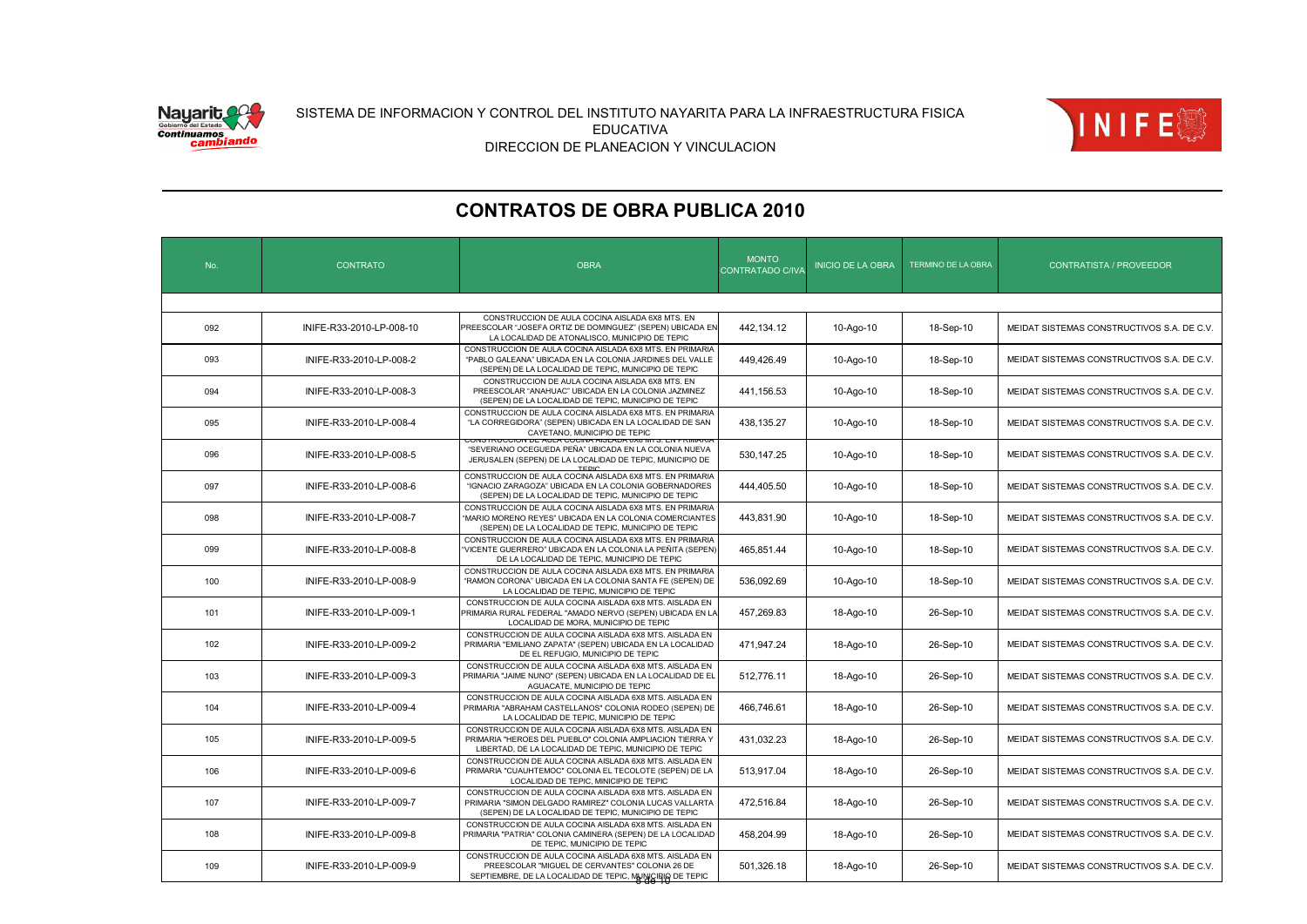![](_page_7_Picture_0.jpeg)

![](_page_7_Picture_2.jpeg)

| No. | <b>CONTRATO</b>          | <b>OBRA</b>                                                                                                                                                                   | <b>MONTO</b><br>CONTRATADO C/IV/ | <b>INICIO DE LA OBRA</b> | TERMINO DE LA OBRA | <b>CONTRATISTA / PROVEEDOR</b>             |  |
|-----|--------------------------|-------------------------------------------------------------------------------------------------------------------------------------------------------------------------------|----------------------------------|--------------------------|--------------------|--------------------------------------------|--|
|     |                          |                                                                                                                                                                               |                                  |                          |                    |                                            |  |
| 092 | INIFE-R33-2010-LP-008-10 | CONSTRUCCION DE AULA COCINA AISLADA 6X8 MTS. EN<br>PREESCOLAR "JOSEFA ORTIZ DE DOMINGUEZ" (SEPEN) UBICADA EN<br>LA LOCALIDAD DE ATONALISCO, MUNICIPIO DE TEPIC                | 442,134.12                       | 10-Ago-10                | 18-Sep-10          | MEIDAT SISTEMAS CONSTRUCTIVOS S.A. DE C.V. |  |
| 093 | INIFE-R33-2010-LP-008-2  | CONSTRUCCION DE AULA COCINA AISLADA 6X8 MTS. EN PRIMARIA<br>"PABLO GALEANA" UBICADA EN LA COLONIA JARDINES DEL VALLE<br>(SEPEN) DE LA LOCALIDAD DE TEPIC, MUNICIPIO DE TEPIC  | 449.426.49                       | 10-Ago-10                | 18-Sep-10          | MEIDAT SISTEMAS CONSTRUCTIVOS S.A. DE C.V. |  |
| 094 | INIFE-R33-2010-LP-008-3  | CONSTRUCCION DE AULA COCINA AISLADA 6X8 MTS. EN<br>PREESCOLAR "ANAHUAC" UBICADA EN LA COLONIA JAZMINEZ<br>(SEPEN) DE LA LOCALIDAD DE TEPIC, MUNICIPIO DE TEPIC                | 441,156.53                       | 10-Ago-10                | 18-Sep-10          | MEIDAT SISTEMAS CONSTRUCTIVOS S.A. DE C.V. |  |
| 095 | INIFE-R33-2010-LP-008-4  | CONSTRUCCION DE AULA COCINA AISLADA 6X8 MTS. EN PRIMARIA<br>"LA CORREGIDORA" (SEPEN) UBICADA EN LA LOCALIDAD DE SAN<br>CAYETANO, MUNICIPIO DE TEPIC                           | 438,135.27                       | 10-Ago-10                | 18-Sep-10          | MEIDAT SISTEMAS CONSTRUCTIVOS S.A. DE C.V. |  |
| 096 | INIFE-R33-2010-LP-008-5  | CIN DE AULA COGINA AIOLADA 0A0 IVITO<br>"SEVERIANO OCEGUEDA PEÑA" UBICADA EN LA COLONIA NUEVA<br>JERUSALEN (SEPEN) DE LA LOCALIDAD DE TEPIC, MUNICIPIO DE                     | 530, 147.25                      | 10-Ago-10                | 18-Sep-10          | MEIDAT SISTEMAS CONSTRUCTIVOS S.A. DE C.V. |  |
| 097 | INIFE-R33-2010-LP-008-6  | CONSTRUCCION DE AULA COCINA AISLADA 6X8 MTS. EN PRIMARIA<br>"IGNACIO ZARAGOZA" UBICADA EN LA COLONIA GOBERNADORES<br>(SEPEN) DE LA LOCALIDAD DE TEPIC, MUNICIPIO DE TEPIC     | 444,405.50                       | 10-Ago-10                | 18-Sep-10          | MEIDAT SISTEMAS CONSTRUCTIVOS S.A. DE C.V. |  |
| 098 | INIFE-R33-2010-LP-008-7  | CONSTRUCCION DE AULA COCINA AISLADA 6X8 MTS. EN PRIMARIA<br>"MARIO MORENO REYES" UBICADA EN LA COLONIA COMERCIANTES<br>(SEPEN) DE LA LOCALIDAD DE TEPIC, MUNICIPIO DE TEPIC   | 443,831.90                       | 10-Ago-10                | 18-Sep-10          | MEIDAT SISTEMAS CONSTRUCTIVOS S.A. DE C.V. |  |
| 099 | INIFE-R33-2010-LP-008-8  | CONSTRUCCION DE AULA COCINA AISLADA 6X8 MTS. EN PRIMARIA<br>'VICENTE GUERRERO" UBICADA EN LA COLONIA LA PEÑITA (SEPEN)<br>DE LA LOCALIDAD DE TEPIC, MUNICIPIO DE TEPIC        | 465,851.44                       | 10-Ago-10                | 18-Sep-10          | MEIDAT SISTEMAS CONSTRUCTIVOS S.A. DE C.V. |  |
| 100 | INIFE-R33-2010-LP-008-9  | CONSTRUCCION DE AULA COCINA AISLADA 6X8 MTS. EN PRIMARIA<br>"RAMON CORONA" UBICADA EN LA COLONIA SANTA FE (SEPEN) DE<br>LA LOCALIDAD DE TEPIC, MUNICIPIO DE TEPIC             | 536.092.69                       | 10-Ago-10                | 18-Sep-10          | MEIDAT SISTEMAS CONSTRUCTIVOS S.A. DE C.V. |  |
| 101 | INIFE-R33-2010-LP-009-1  | CONSTRUCCION DE AULA COCINA AISLADA 6X8 MTS. AISLADA EN<br>PRIMARIA RURAL FEDERAL "AMADO NERVO (SEPEN) UBICADA EN LA<br>LOCALIDAD DE MORA, MUNICIPIO DE TEPIC                 | 457.269.83                       | 18-Ago-10                | 26-Sep-10          | MEIDAT SISTEMAS CONSTRUCTIVOS S.A. DE C.V. |  |
| 102 | INIFE-R33-2010-LP-009-2  | CONSTRUCCION DE AULA COCINA AISLADA 6X8 MTS. AISLADA EN<br>PRIMARIA "EMILIANO ZAPATA" (SEPEN) UBICADA EN LA LOCALIDAD<br>DE EL REFUGIO, MUNICIPIO DE TEPIC                    | 471,947.24                       | 18-Ago-10                | 26-Sep-10          | MEIDAT SISTEMAS CONSTRUCTIVOS S.A. DE C.V. |  |
| 103 | INIFE-R33-2010-LP-009-3  | CONSTRUCCION DE AULA COCINA AISLADA 6X8 MTS. AISLADA EN<br>PRIMARIA "JAIME NUNO" (SEPEN) UBICADA EN LA LOCALIDAD DE EL<br>AGUACATE, MUNICIPIO DE TEPIC                        | 512,776.11                       | 18-Ago-10                | 26-Sep-10          | MEIDAT SISTEMAS CONSTRUCTIVOS S.A. DE C.V. |  |
| 104 | INIFE-R33-2010-LP-009-4  | CONSTRUCCION DE AULA COCINA AISLADA 6X8 MTS. AISLADA EN<br>PRIMARIA "ABRAHAM CASTELLANOS" COLONIA RODEO (SEPEN) DE<br>LA LOCALIDAD DE TEPIC, MUNICIPIO DE TEPIC               | 466,746.61                       | 18-Ago-10                | 26-Sep-10          | MEIDAT SISTEMAS CONSTRUCTIVOS S.A. DE C.V. |  |
| 105 | INIFE-R33-2010-LP-009-5  | CONSTRUCCION DE AULA COCINA AISLADA 6X8 MTS. AISLADA EN<br>PRIMARIA "HEROES DEL PUEBLO" COLONIA AMPLIACION TIERRA Y<br>LIBERTAD, DE LA LOCALIDAD DE TEPIC, MUNICIPIO DE TEPIC | 431,032.23                       | 18-Ago-10                | 26-Sep-10          | MEIDAT SISTEMAS CONSTRUCTIVOS S.A. DE C.V. |  |
| 106 | INIFE-R33-2010-LP-009-6  | CONSTRUCCION DE AULA COCINA AISLADA 6X8 MTS. AISLADA EN<br>PRIMARIA "CUAUHTEMOC" COLONIA EL TECOLOTE (SEPEN) DE LA<br>LOCALIDAD DE TEPIC, MINICIPIO DE TEPIC                  | 513,917.04                       | 18-Ago-10                | 26-Sep-10          | MEIDAT SISTEMAS CONSTRUCTIVOS S.A. DE C.V. |  |
| 107 | INIFE-R33-2010-LP-009-7  | CONSTRUCCION DE AULA COCINA AISLADA 6X8 MTS. AISLADA EN<br>PRIMARIA "SIMON DELGADO RAMIREZ" COLONIA LUCAS VALLARTA<br>(SEPEN) DE LA LOCALIDAD DE TEPIC, MUNICIPIO DE TEPIC    | 472,516.84                       | 18-Ago-10                | 26-Sep-10          | MEIDAT SISTEMAS CONSTRUCTIVOS S.A. DE C.V. |  |
| 108 | INIFE-R33-2010-LP-009-8  | CONSTRUCCION DE AULA COCINA AISLADA 6X8 MTS. AISLADA EN<br>PRIMARIA "PATRIA" COLONIA CAMINERA (SEPEN) DE LA LOCALIDAD<br>DE TEPIC, MUNICIPIO DE TEPIC                         | 458,204.99                       | 18-Ago-10                | 26-Sep-10          | MEIDAT SISTEMAS CONSTRUCTIVOS S.A. DE C.V. |  |
| 109 | INIFE-R33-2010-LP-009-9  | CONSTRUCCION DE AULA COCINA AISLADA 6X8 MTS. AISLADA EN<br>PREESCOLAR "MIGUEL DE CERVANTES" COLONIA 26 DE<br>SEPTIEMBRE, DE LA LOCALIDAD DE TEPIC, MUNICIRIO DE TEPIC         | 501.326.18                       | 18-Ago-10                | 26-Sep-10          | MEIDAT SISTEMAS CONSTRUCTIVOS S.A. DE C.V. |  |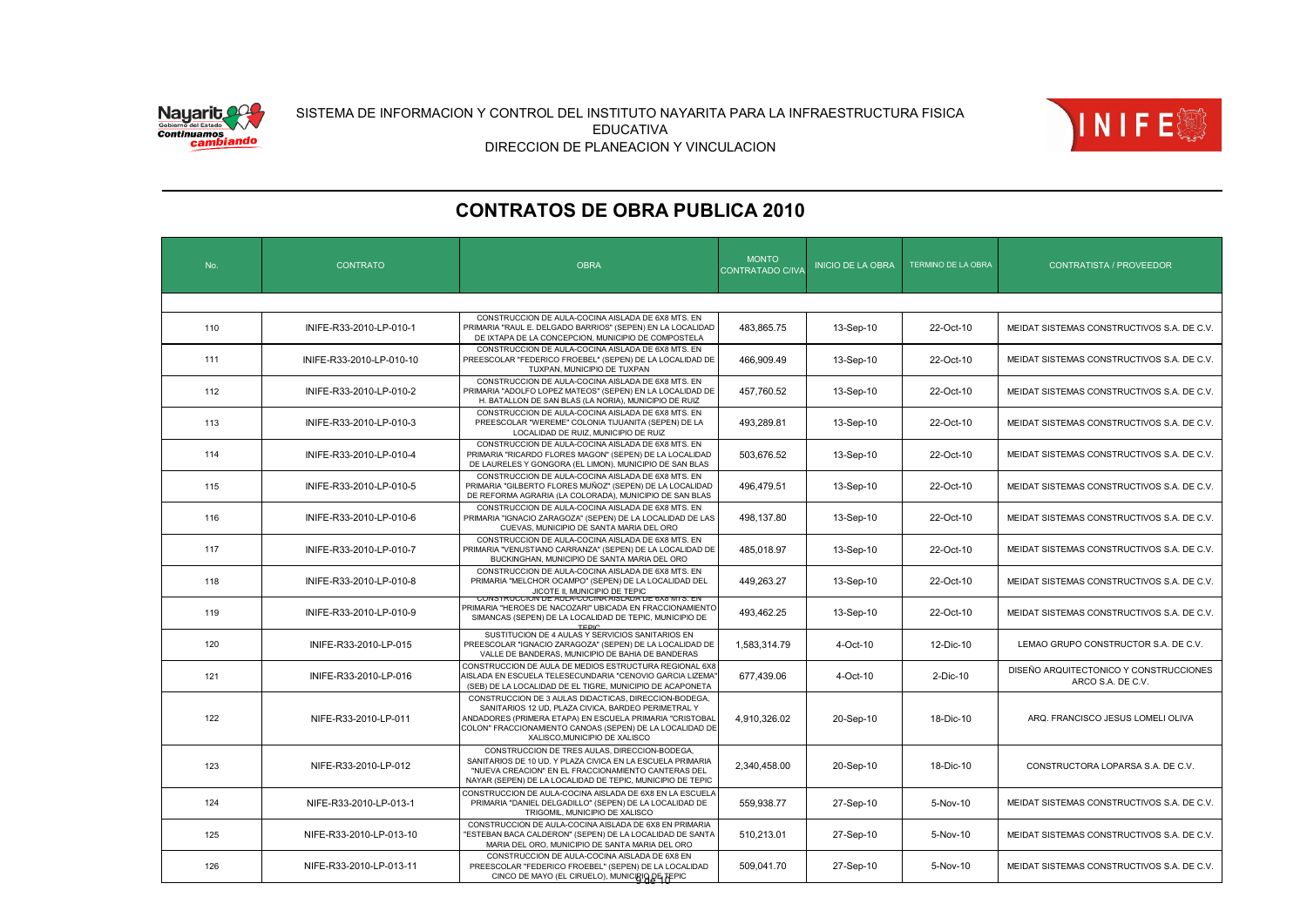![](_page_8_Picture_0.jpeg)

![](_page_8_Picture_2.jpeg)

| No. | <b>CONTRATO</b>          | <b>OBRA</b>                                                                                                                                                                                                                      | <b>MONTO</b><br>CONTRATADO C/IVA                                                               | <b>INICIO DE LA OBRA</b>                                                                                                                                                                                                                                                                                                                                                 | TERMINO DE LA OBRA | <b>CONTRATISTA / PROVEEDOR</b>                              |  |  |  |
|-----|--------------------------|----------------------------------------------------------------------------------------------------------------------------------------------------------------------------------------------------------------------------------|------------------------------------------------------------------------------------------------|--------------------------------------------------------------------------------------------------------------------------------------------------------------------------------------------------------------------------------------------------------------------------------------------------------------------------------------------------------------------------|--------------------|-------------------------------------------------------------|--|--|--|
|     |                          |                                                                                                                                                                                                                                  |                                                                                                |                                                                                                                                                                                                                                                                                                                                                                          |                    |                                                             |  |  |  |
| 110 | INIFE-R33-2010-LP-010-1  | CONSTRUCCION DE AULA-COCINA AISLADA DE 6X8 MTS. EN<br>PRIMARIA "RAUL E. DELGADO BARRIOS" (SEPEN) EN LA LOCALIDAD<br>DE IXTAPA DE LA CONCEPCION, MUNICIPIO DE COMPOSTELA                                                          | 483,865.75                                                                                     | 13-Sep-10                                                                                                                                                                                                                                                                                                                                                                | 22-Oct-10          | MEIDAT SISTEMAS CONSTRUCTIVOS S.A. DE C.V.                  |  |  |  |
| 111 | INIFE-R33-2010-LP-010-10 | CONSTRUCCION DE AULA-COCINA AISLADA DE 6X8 MTS. EN<br>TUXPAN, MUNICIPIO DE TUXPAN                                                                                                                                                | 466,909.49                                                                                     | 13-Sep-10                                                                                                                                                                                                                                                                                                                                                                | 22-Oct-10          | MEIDAT SISTEMAS CONSTRUCTIVOS S.A. DE C.V.                  |  |  |  |
| 112 | INIFE-R33-2010-LP-010-2  | H. BATALLON DE SAN BLAS (LA NORIA), MUNICIPIO DE RUIZ                                                                                                                                                                            | 457,760.52                                                                                     | 13-Sep-10                                                                                                                                                                                                                                                                                                                                                                | 22-Oct-10          | MEIDAT SISTEMAS CONSTRUCTIVOS S.A. DE C.V.                  |  |  |  |
| 113 | INIFE-R33-2010-LP-010-3  | CONSTRUCCION DE AULA-COCINA AISLADA DE 6X8 MTS. EN<br>PREESCOLAR "WEREME" COLONIA TIJUANITA (SEPEN) DE LA<br>LOCALIDAD DE RUIZ, MUNICIPIO DE RUIZ                                                                                | 493,289.81                                                                                     | 13-Sep-10                                                                                                                                                                                                                                                                                                                                                                | 22-Oct-10          | MEIDAT SISTEMAS CONSTRUCTIVOS S.A. DE C.V.                  |  |  |  |
| 114 | INIFE-R33-2010-LP-010-4  | CONSTRUCCION DE AULA-COCINA AISLADA DE 6X8 MTS. EN<br>PRIMARIA "RICARDO FLORES MAGON" (SEPEN) DE LA LOCALIDAD<br>DE LAURELES Y GONGORA (EL LIMON), MUNICIPIO DE SAN BLAS                                                         | 503,676.52                                                                                     | 13-Sep-10                                                                                                                                                                                                                                                                                                                                                                | 22-Oct-10          | MEIDAT SISTEMAS CONSTRUCTIVOS S.A. DE C.V.                  |  |  |  |
| 115 | INIFE-R33-2010-LP-010-5  | CONSTRUCCION DE AULA-COCINA AISLADA DE 6X8 MTS. EN<br>PRIMARIA "GILBERTO FLORES MUÑOZ" (SEPEN) DE LA LOCALIDAD<br>DE REFORMA AGRARIA (LA COLORADA), MUNICIPIO DE SAN BLAS                                                        | 496,479.51                                                                                     | 13-Sep-10                                                                                                                                                                                                                                                                                                                                                                | 22-Oct-10          | MEIDAT SISTEMAS CONSTRUCTIVOS S.A. DE C.V.                  |  |  |  |
| 116 | INIFE-R33-2010-LP-010-6  | CONSTRUCCION DE AULA-COCINA AISLADA DE 6X8 MTS. EN<br>CUEVAS, MUNICIPIO DE SANTA MARIA DEL ORO                                                                                                                                   | 498,137.80                                                                                     | 13-Sep-10                                                                                                                                                                                                                                                                                                                                                                | 22-Oct-10          | MEIDAT SISTEMAS CONSTRUCTIVOS S.A. DE C.V.                  |  |  |  |
| 117 | INIFE-R33-2010-LP-010-7  | CONSTRUCCION DE AULA-COCINA AISLADA DE 6X8 MTS. EN<br>BUCKINGHAN, MUNICIPIO DE SANTA MARIA DEL ORO                                                                                                                               | 485,018.97                                                                                     | 13-Sep-10                                                                                                                                                                                                                                                                                                                                                                | 22-Oct-10          | MEIDAT SISTEMAS CONSTRUCTIVOS S.A. DE C.V.                  |  |  |  |
| 118 | INIFE-R33-2010-LP-010-8  | CONSTRUCCION DE AULA-COCINA AISLADA DE 6X8 MTS. EN<br>PRIMARIA "MELCHOR OCAMPO" (SEPEN) DE LA LOCALIDAD DEL<br>JICOTE II. MUNICIPIO DE TEPIC                                                                                     | 449,263.27                                                                                     | 13-Sep-10                                                                                                                                                                                                                                                                                                                                                                | 22-Oct-10          | MEIDAT SISTEMAS CONSTRUCTIVOS S.A. DE C.V.                  |  |  |  |
| 119 | INIFE-R33-2010-LP-010-9  | SIMANCAS (SEPEN) DE LA LOCALIDAD DE TEPIC, MUNICIPIO DE                                                                                                                                                                          | 493.462.25                                                                                     | 13-Sep-10                                                                                                                                                                                                                                                                                                                                                                | 22-Oct-10          | MEIDAT SISTEMAS CONSTRUCTIVOS S.A. DE C.V.                  |  |  |  |
| 120 | INIFE-R33-2010-LP-015    | SUSTITUCION DE 4 AULAS Y SERVICIOS SANITARIOS EN<br>PREESCOLAR "IGNACIO ZARAGOZA" (SEPEN) DE LA LOCALIDAD DE<br>VALLE DE BANDERAS, MUNICIPIO DE BAHIA DE BANDERAS                                                                | 1,583,314.79                                                                                   | 4-Oct-10                                                                                                                                                                                                                                                                                                                                                                 | 12-Dic-10          | LEMAO GRUPO CONSTRUCTOR S.A. DE C.V.                        |  |  |  |
| 121 | INIFE-R33-2010-LP-016    | CONSTRUCCION DE AULA DE MEDIOS ESTRUCTURA REGIONAL 6X8<br>AISLADA EN ESCUELA TELESECUNDARIA "CENOVIO GARCIA LIZEMA"<br>(SEB) DE LA LOCALIDAD DE EL TIGRE, MUNICIPIO DE ACAPONETA                                                 | 677,439.06                                                                                     | 4-Oct-10                                                                                                                                                                                                                                                                                                                                                                 | 2-Dic-10           | DISEÑO ARQUITECTONICO Y CONSTRUCCIONES<br>ARCO S.A. DE C.V. |  |  |  |
| 122 | NIFE-R33-2010-LP-011     | CONSTRUCCION DE 3 AULAS DIDACTICAS, DIRECCION-BODEGA,<br>SANITARIOS 12 UD, PLAZA CIVICA, BARDEO PERIMETRAL Y<br>ANDADORES (PRIMERA ETAPA) EN ESCUELA PRIMARIA "CRISTOBAL<br>XALISCO, MUNICIPIO DE XALISCO                        | 4,910,326.02                                                                                   | 20-Sep-10                                                                                                                                                                                                                                                                                                                                                                | 18-Dic-10          | ARQ. FRANCISCO JESUS LOMELI OLIVA                           |  |  |  |
| 123 | NIFE-R33-2010-LP-012     | CONSTRUCCION DE TRES AULAS, DIRECCION-BODEGA,<br>SANITARIOS DE 10 UD. Y PLAZA CIVICA EN LA ESCUELA PRIMARIA<br>"NUEVA CREACION" EN EL FRACCIONAMIENTO CANTERAS DEL<br>NAYAR (SEPEN) DE LA LOCALIDAD DE TEPIC, MUNICIPIO DE TEPIC | 2,340,458.00                                                                                   | 20-Sep-10                                                                                                                                                                                                                                                                                                                                                                | 18-Dic-10          | CONSTRUCTORA LOPARSA S.A. DE C.V.                           |  |  |  |
| 124 | NIFE-R33-2010-LP-013-1   | CONSTRUCCION DE AULA-COCINA AISLADA DE 6X8 EN LA ESCUELA<br>PRIMARIA "DANIEL DELGADILLO" (SEPEN) DE LA LOCALIDAD DE<br>TRIGOMIL, MUNICIPIO DE XALISCO                                                                            | 559,938.77                                                                                     | 27-Sep-10                                                                                                                                                                                                                                                                                                                                                                | 5-Nov-10           | MEIDAT SISTEMAS CONSTRUCTIVOS S.A. DE C.V.                  |  |  |  |
| 125 | NIFE-R33-2010-LP-013-10  | CONSTRUCCION DE AULA-COCINA AISLADA DE 6X8 EN PRIMARIA<br>"ESTEBAN BACA CALDERON" (SEPEN) DE LA LOCALIDAD DE SANTA<br>MARIA DEL ORO, MUNICIPIO DE SANTA MARIA DEL ORO                                                            | 510,213.01                                                                                     | 27-Sep-10                                                                                                                                                                                                                                                                                                                                                                | 5-Nov-10           | MEIDAT SISTEMAS CONSTRUCTIVOS S.A. DE C.V.                  |  |  |  |
| 126 | NIFE-R33-2010-LP-013-11  | CONSTRUCCION DE AULA-COCINA AISLADA DE 6X8 EN<br>PREESCOLAR "FEDERICO FROEBEL" (SEPEN) DE LA LOCALIDAD<br>CINCO DE MAYO (EL CIRUELO), MUNICRIO DE TEPIC                                                                          | 509,041.70                                                                                     | 27-Sep-10                                                                                                                                                                                                                                                                                                                                                                | 5-Nov-10           | MEIDAT SISTEMAS CONSTRUCTIVOS S.A. DE C.V.                  |  |  |  |
|     |                          |                                                                                                                                                                                                                                  | CONSTRUCCION DE AULA-COCINA AISLADA DE 6X8 MTS. EN<br>CONO I NUCCION DE AULA-COGINA AIOLADA DE | PREESCOLAR "FEDERICO FROEBEL" (SEPEN) DE LA LOCALIDAD DE<br>PRIMARIA "ADOLFO LOPEZ MATEOS" (SEPEN) EN LA LOCALIDAD DE<br>PRIMARIA "IGNACIO ZARAGOZA" (SEPEN) DE LA LOCALIDAD DE LAS<br>PRIMARIA "VENUSTIANO CARRANZA" (SEPEN) DE LA LOCALIDAD DE<br>PRIMARIA "HEROES DE NACOZARI" UBICADA EN FRACCIONAMIENTO<br>COLON" FRACCIONAMIENTO CANOAS (SEPEN) DE LA LOCALIDAD DE |                    |                                                             |  |  |  |